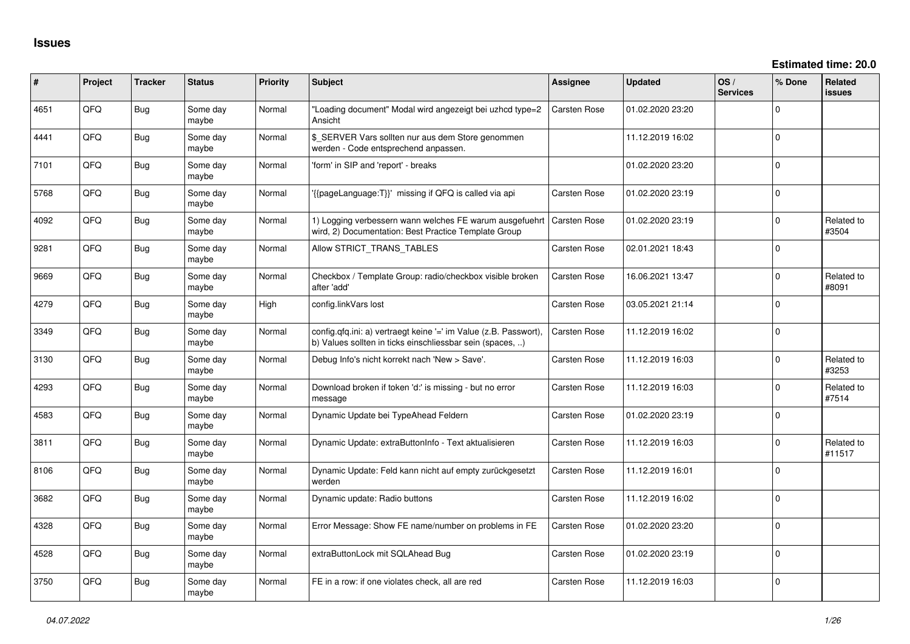| #    | Project | <b>Tracker</b> | <b>Status</b>     | <b>Priority</b> | Subject                                                                                                                       | <b>Assignee</b>     | <b>Updated</b>   | OS/<br><b>Services</b> | % Done   | <b>Related</b><br>issues |
|------|---------|----------------|-------------------|-----------------|-------------------------------------------------------------------------------------------------------------------------------|---------------------|------------------|------------------------|----------|--------------------------|
| 4651 | QFQ     | <b>Bug</b>     | Some day<br>maybe | Normal          | 'Loading document" Modal wird angezeigt bei uzhcd type=2<br>Ansicht                                                           | <b>Carsten Rose</b> | 01.02.2020 23:20 |                        | $\Omega$ |                          |
| 4441 | QFQ     | <b>Bug</b>     | Some day<br>maybe | Normal          | \$ SERVER Vars sollten nur aus dem Store genommen<br>werden - Code entsprechend anpassen.                                     |                     | 11.12.2019 16:02 |                        | $\Omega$ |                          |
| 7101 | QFQ     | <b>Bug</b>     | Some day<br>maybe | Normal          | 'form' in SIP and 'report' - breaks                                                                                           |                     | 01.02.2020 23:20 |                        | $\Omega$ |                          |
| 5768 | QFQ     | <b>Bug</b>     | Some day<br>maybe | Normal          | '{{pageLanguage:T}}' missing if QFQ is called via api                                                                         | Carsten Rose        | 01.02.2020 23:19 |                        | $\Omega$ |                          |
| 4092 | QFQ     | Bug            | Some day<br>maybe | Normal          | 1) Logging verbessern wann welches FE warum ausgefuehrt<br>wird, 2) Documentation: Best Practice Template Group               | <b>Carsten Rose</b> | 01.02.2020 23:19 |                        | $\Omega$ | Related to<br>#3504      |
| 9281 | QFQ     | <b>Bug</b>     | Some day<br>maybe | Normal          | Allow STRICT_TRANS_TABLES                                                                                                     | <b>Carsten Rose</b> | 02.01.2021 18:43 |                        | $\Omega$ |                          |
| 9669 | QFQ     | Bug            | Some day<br>maybe | Normal          | Checkbox / Template Group: radio/checkbox visible broken<br>after 'add'                                                       | <b>Carsten Rose</b> | 16.06.2021 13:47 |                        | $\Omega$ | Related to<br>#8091      |
| 4279 | QFQ     | <b>Bug</b>     | Some day<br>maybe | High            | config.linkVars lost                                                                                                          | <b>Carsten Rose</b> | 03.05.2021 21:14 |                        | $\Omega$ |                          |
| 3349 | QFQ     | Bug            | Some day<br>maybe | Normal          | config.qfq.ini: a) vertraegt keine '=' im Value (z.B. Passwort),<br>b) Values sollten in ticks einschliessbar sein (spaces, ) | <b>Carsten Rose</b> | 11.12.2019 16:02 |                        | $\Omega$ |                          |
| 3130 | QFQ     | Bug            | Some day<br>maybe | Normal          | Debug Info's nicht korrekt nach 'New > Save'.                                                                                 | <b>Carsten Rose</b> | 11.12.2019 16:03 |                        | $\Omega$ | Related to<br>#3253      |
| 4293 | QFQ     | Bug            | Some day<br>maybe | Normal          | Download broken if token 'd:' is missing - but no error<br>message                                                            | <b>Carsten Rose</b> | 11.12.2019 16:03 |                        | $\Omega$ | Related to<br>#7514      |
| 4583 | QFQ     | <b>Bug</b>     | Some day<br>maybe | Normal          | Dynamic Update bei TypeAhead Feldern                                                                                          | <b>Carsten Rose</b> | 01.02.2020 23:19 |                        | $\Omega$ |                          |
| 3811 | QFQ     | <b>Bug</b>     | Some day<br>maybe | Normal          | Dynamic Update: extraButtonInfo - Text aktualisieren                                                                          | <b>Carsten Rose</b> | 11.12.2019 16:03 |                        | $\Omega$ | Related to<br>#11517     |
| 8106 | QFQ     | <b>Bug</b>     | Some day<br>maybe | Normal          | Dynamic Update: Feld kann nicht auf empty zurückgesetzt<br>werden                                                             | <b>Carsten Rose</b> | 11.12.2019 16:01 |                        | $\Omega$ |                          |
| 3682 | QFQ     | <b>Bug</b>     | Some day<br>maybe | Normal          | Dynamic update: Radio buttons                                                                                                 | <b>Carsten Rose</b> | 11.12.2019 16:02 |                        | $\Omega$ |                          |
| 4328 | QFQ     | Bug            | Some day<br>maybe | Normal          | Error Message: Show FE name/number on problems in FE                                                                          | <b>Carsten Rose</b> | 01.02.2020 23:20 |                        | $\Omega$ |                          |
| 4528 | QFQ     | Bug            | Some day<br>maybe | Normal          | extraButtonLock mit SQLAhead Bug                                                                                              | <b>Carsten Rose</b> | 01.02.2020 23:19 |                        | $\Omega$ |                          |
| 3750 | QFQ     | Bug            | Some day<br>maybe | Normal          | FE in a row: if one violates check, all are red                                                                               | <b>Carsten Rose</b> | 11.12.2019 16:03 |                        | $\Omega$ |                          |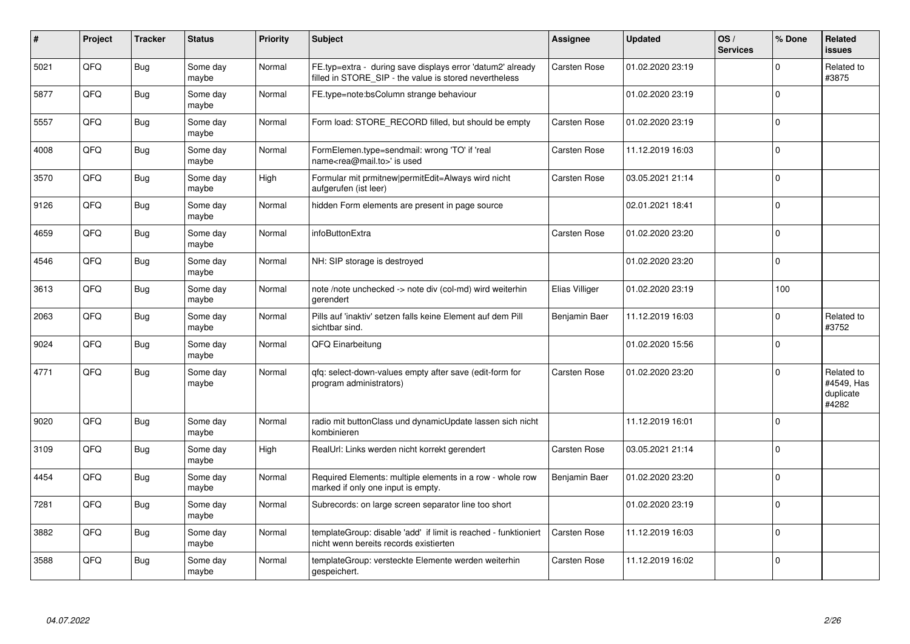| $\vert$ # | Project | <b>Tracker</b> | <b>Status</b>     | <b>Priority</b> | <b>Subject</b>                                                                                                       | Assignee              | <b>Updated</b>   | OS/<br><b>Services</b> | % Done      | Related<br><b>issues</b>                       |
|-----------|---------|----------------|-------------------|-----------------|----------------------------------------------------------------------------------------------------------------------|-----------------------|------------------|------------------------|-------------|------------------------------------------------|
| 5021      | QFQ     | <b>Bug</b>     | Some day<br>maybe | Normal          | FE.typ=extra - during save displays error 'datum2' already<br>filled in STORE_SIP - the value is stored nevertheless | <b>Carsten Rose</b>   | 01.02.2020 23:19 |                        | $\Omega$    | Related to<br>#3875                            |
| 5877      | QFQ     | <b>Bug</b>     | Some day<br>maybe | Normal          | FE.type=note:bsColumn strange behaviour                                                                              |                       | 01.02.2020 23:19 |                        | $\Omega$    |                                                |
| 5557      | QFQ     | <b>Bug</b>     | Some day<br>maybe | Normal          | Form load: STORE_RECORD filled, but should be empty                                                                  | Carsten Rose          | 01.02.2020 23:19 |                        | $\Omega$    |                                                |
| 4008      | QFQ     | <b>Bug</b>     | Some day<br>maybe | Normal          | FormElemen.type=sendmail: wrong 'TO' if 'real<br>name <rea@mail.to>' is used</rea@mail.to>                           | Carsten Rose          | 11.12.2019 16:03 |                        | 0           |                                                |
| 3570      | QFQ     | Bug            | Some day<br>maybe | High            | Formular mit prmitnew permitEdit=Always wird nicht<br>aufgerufen (ist leer)                                          | Carsten Rose          | 03.05.2021 21:14 |                        | $\Omega$    |                                                |
| 9126      | QFQ     | <b>Bug</b>     | Some day<br>maybe | Normal          | hidden Form elements are present in page source                                                                      |                       | 02.01.2021 18:41 |                        | $\Omega$    |                                                |
| 4659      | QFQ     | Bug            | Some day<br>maybe | Normal          | infoButtonExtra                                                                                                      | Carsten Rose          | 01.02.2020 23:20 |                        | $\mathbf 0$ |                                                |
| 4546      | QFQ     | Bug            | Some day<br>maybe | Normal          | NH: SIP storage is destroyed                                                                                         |                       | 01.02.2020 23:20 |                        | $\Omega$    |                                                |
| 3613      | QFQ     | <b>Bug</b>     | Some day<br>maybe | Normal          | note /note unchecked -> note div (col-md) wird weiterhin<br>gerendert                                                | <b>Elias Villiger</b> | 01.02.2020 23:19 |                        | 100         |                                                |
| 2063      | QFQ     | <b>Bug</b>     | Some day<br>maybe | Normal          | Pills auf 'inaktiv' setzen falls keine Element auf dem Pill<br>sichtbar sind.                                        | Benjamin Baer         | 11.12.2019 16:03 |                        | $\Omega$    | Related to<br>#3752                            |
| 9024      | QFQ     | <b>Bug</b>     | Some day<br>maybe | Normal          | QFQ Einarbeitung                                                                                                     |                       | 01.02.2020 15:56 |                        | $\Omega$    |                                                |
| 4771      | QFQ     | Bug            | Some day<br>maybe | Normal          | qfq: select-down-values empty after save (edit-form for<br>program administrators)                                   | <b>Carsten Rose</b>   | 01.02.2020 23:20 |                        | $\Omega$    | Related to<br>#4549, Has<br>duplicate<br>#4282 |
| 9020      | QFQ     | Bug            | Some day<br>maybe | Normal          | radio mit buttonClass und dynamicUpdate lassen sich nicht<br>kombinieren                                             |                       | 11.12.2019 16:01 |                        | $\Omega$    |                                                |
| 3109      | QFQ     | <b>Bug</b>     | Some day<br>maybe | High            | RealUrl: Links werden nicht korrekt gerendert                                                                        | <b>Carsten Rose</b>   | 03.05.2021 21:14 |                        | $\Omega$    |                                                |
| 4454      | QFQ     | <b>Bug</b>     | Some day<br>maybe | Normal          | Required Elements: multiple elements in a row - whole row<br>marked if only one input is empty.                      | Benjamin Baer         | 01.02.2020 23:20 |                        | 0           |                                                |
| 7281      | QFQ     | <b>Bug</b>     | Some day<br>maybe | Normal          | Subrecords: on large screen separator line too short                                                                 |                       | 01.02.2020 23:19 |                        | $\Omega$    |                                                |
| 3882      | QFQ     | <b>Bug</b>     | Some day<br>maybe | Normal          | templateGroup: disable 'add' if limit is reached - funktioniert<br>nicht wenn bereits records existierten            | Carsten Rose          | 11.12.2019 16:03 |                        | $\Omega$    |                                                |
| 3588      | QFQ     | <b>Bug</b>     | Some day<br>maybe | Normal          | templateGroup: versteckte Elemente werden weiterhin<br>gespeichert.                                                  | Carsten Rose          | 11.12.2019 16:02 |                        | $\mathbf 0$ |                                                |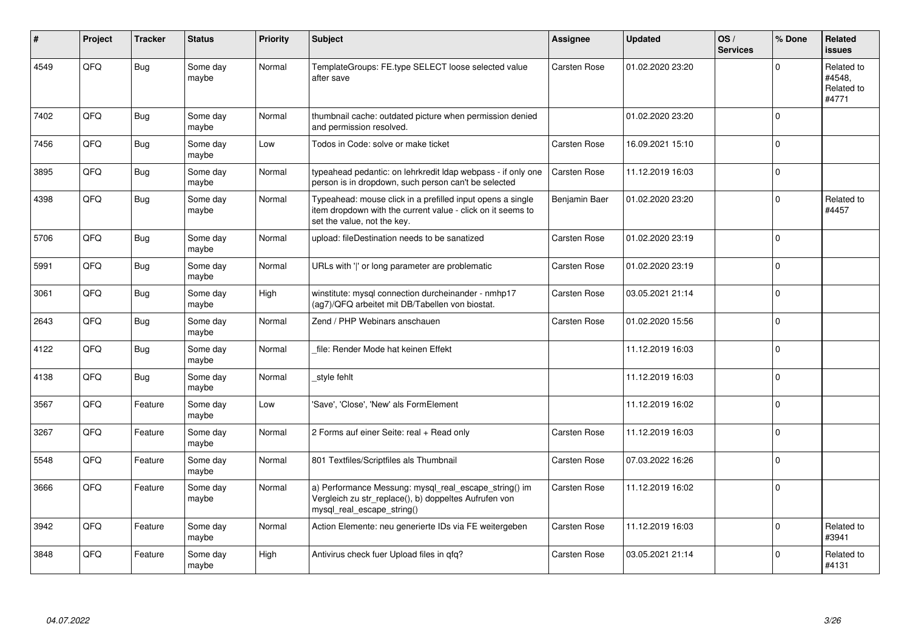| #    | Project | <b>Tracker</b> | <b>Status</b>     | <b>Priority</b> | <b>Subject</b>                                                                                                                                           | Assignee            | <b>Updated</b>   | OS/<br><b>Services</b> | % Done      | Related<br><b>issues</b>                    |
|------|---------|----------------|-------------------|-----------------|----------------------------------------------------------------------------------------------------------------------------------------------------------|---------------------|------------------|------------------------|-------------|---------------------------------------------|
| 4549 | QFQ     | Bug            | Some day<br>maybe | Normal          | TemplateGroups: FE.type SELECT loose selected value<br>after save                                                                                        | <b>Carsten Rose</b> | 01.02.2020 23:20 |                        | $\Omega$    | Related to<br>#4548,<br>Related to<br>#4771 |
| 7402 | QFQ     | <b>Bug</b>     | Some day<br>maybe | Normal          | thumbnail cache: outdated picture when permission denied<br>and permission resolved.                                                                     |                     | 01.02.2020 23:20 |                        | $\Omega$    |                                             |
| 7456 | QFQ     | <b>Bug</b>     | Some day<br>maybe | Low             | Todos in Code: solve or make ticket                                                                                                                      | <b>Carsten Rose</b> | 16.09.2021 15:10 |                        | $\pmb{0}$   |                                             |
| 3895 | QFQ     | Bug            | Some day<br>maybe | Normal          | typeahead pedantic: on lehrkredit Idap webpass - if only one<br>person is in dropdown, such person can't be selected                                     | <b>Carsten Rose</b> | 11.12.2019 16:03 |                        | $\mathbf 0$ |                                             |
| 4398 | QFQ     | <b>Bug</b>     | Some day<br>maybe | Normal          | Typeahead: mouse click in a prefilled input opens a single<br>item dropdown with the current value - click on it seems to<br>set the value, not the key. | Benjamin Baer       | 01.02.2020 23:20 |                        | $\Omega$    | Related to<br>#4457                         |
| 5706 | QFQ     | <b>Bug</b>     | Some day<br>maybe | Normal          | upload: fileDestination needs to be sanatized                                                                                                            | Carsten Rose        | 01.02.2020 23:19 |                        | $\Omega$    |                                             |
| 5991 | QFQ     | Bug            | Some day<br>maybe | Normal          | URLs with ' ' or long parameter are problematic                                                                                                          | Carsten Rose        | 01.02.2020 23:19 |                        | $\mathbf 0$ |                                             |
| 3061 | QFQ     | <b>Bug</b>     | Some day<br>maybe | High            | winstitute: mysql connection durcheinander - nmhp17<br>(ag7)/QFQ arbeitet mit DB/Tabellen von biostat.                                                   | Carsten Rose        | 03.05.2021 21:14 |                        | $\Omega$    |                                             |
| 2643 | QFQ     | <b>Bug</b>     | Some day<br>maybe | Normal          | Zend / PHP Webinars anschauen                                                                                                                            | <b>Carsten Rose</b> | 01.02.2020 15:56 |                        | $\Omega$    |                                             |
| 4122 | QFQ     | <b>Bug</b>     | Some day<br>maybe | Normal          | file: Render Mode hat keinen Effekt                                                                                                                      |                     | 11.12.2019 16:03 |                        | $\mathbf 0$ |                                             |
| 4138 | QFQ     | Bug            | Some day<br>maybe | Normal          | style fehlt                                                                                                                                              |                     | 11.12.2019 16:03 |                        | $\mathbf 0$ |                                             |
| 3567 | QFQ     | Feature        | Some day<br>maybe | Low             | 'Save', 'Close', 'New' als FormElement                                                                                                                   |                     | 11.12.2019 16:02 |                        | $\Omega$    |                                             |
| 3267 | QFQ     | Feature        | Some day<br>maybe | Normal          | 2 Forms auf einer Seite: real + Read only                                                                                                                | <b>Carsten Rose</b> | 11.12.2019 16:03 |                        | $\mathbf 0$ |                                             |
| 5548 | QFQ     | Feature        | Some day<br>maybe | Normal          | 801 Textfiles/Scriptfiles als Thumbnail                                                                                                                  | <b>Carsten Rose</b> | 07.03.2022 16:26 |                        | $\Omega$    |                                             |
| 3666 | QFQ     | Feature        | Some day<br>maybe | Normal          | a) Performance Messung: mysql_real_escape_string() im<br>Vergleich zu str_replace(), b) doppeltes Aufrufen von<br>mysql_real_escape_string()             | Carsten Rose        | 11.12.2019 16:02 |                        | $\Omega$    |                                             |
| 3942 | QFQ     | Feature        | Some day<br>maybe | Normal          | Action Elemente: neu generierte IDs via FE weitergeben                                                                                                   | Carsten Rose        | 11.12.2019 16:03 |                        | $\mathbf 0$ | Related to<br>#3941                         |
| 3848 | QFQ     | Feature        | Some day<br>maybe | High            | Antivirus check fuer Upload files in qfq?                                                                                                                | Carsten Rose        | 03.05.2021 21:14 |                        | $\Omega$    | Related to<br>#4131                         |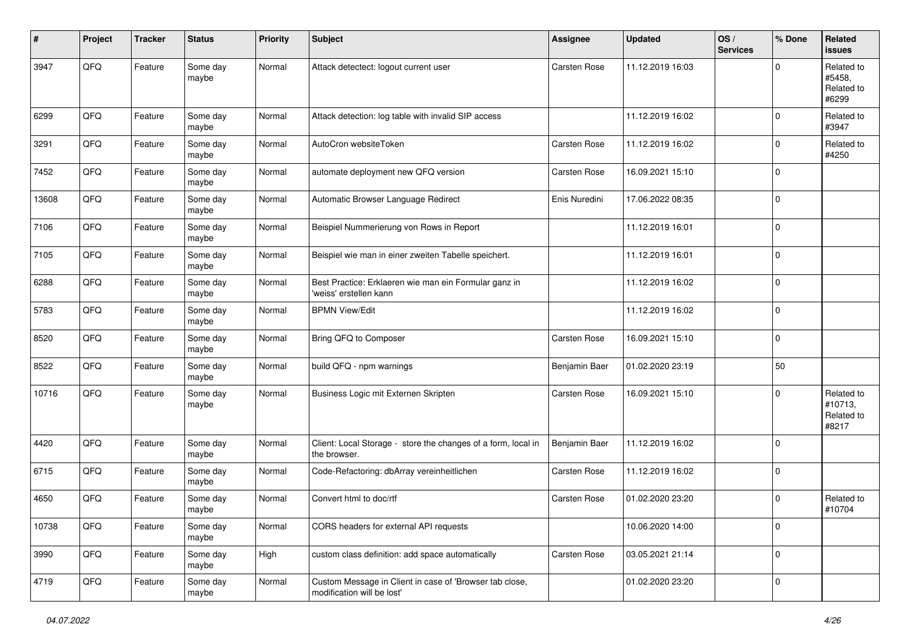| #     | Project | <b>Tracker</b> | <b>Status</b>     | <b>Priority</b> | <b>Subject</b>                                                                        | Assignee            | <b>Updated</b>   | OS/<br><b>Services</b> | % Done       | <b>Related</b><br><b>issues</b>              |
|-------|---------|----------------|-------------------|-----------------|---------------------------------------------------------------------------------------|---------------------|------------------|------------------------|--------------|----------------------------------------------|
| 3947  | QFQ     | Feature        | Some day<br>maybe | Normal          | Attack detectect: logout current user                                                 | Carsten Rose        | 11.12.2019 16:03 |                        | $\mathbf 0$  | Related to<br>#5458,<br>Related to<br>#6299  |
| 6299  | QFQ     | Feature        | Some day<br>maybe | Normal          | Attack detection: log table with invalid SIP access                                   |                     | 11.12.2019 16:02 |                        | $\mathbf 0$  | Related to<br>#3947                          |
| 3291  | QFQ     | Feature        | Some day<br>maybe | Normal          | AutoCron websiteToken                                                                 | Carsten Rose        | 11.12.2019 16:02 |                        | $\mathbf 0$  | Related to<br>#4250                          |
| 7452  | QFQ     | Feature        | Some day<br>maybe | Normal          | automate deployment new QFQ version                                                   | Carsten Rose        | 16.09.2021 15:10 |                        | $\mathbf 0$  |                                              |
| 13608 | QFQ     | Feature        | Some day<br>maybe | Normal          | Automatic Browser Language Redirect                                                   | Enis Nuredini       | 17.06.2022 08:35 |                        | $\mathbf 0$  |                                              |
| 7106  | QFQ     | Feature        | Some day<br>maybe | Normal          | Beispiel Nummerierung von Rows in Report                                              |                     | 11.12.2019 16:01 |                        | $\mathbf 0$  |                                              |
| 7105  | QFQ     | Feature        | Some day<br>maybe | Normal          | Beispiel wie man in einer zweiten Tabelle speichert.                                  |                     | 11.12.2019 16:01 |                        | $\mathbf 0$  |                                              |
| 6288  | QFQ     | Feature        | Some day<br>maybe | Normal          | Best Practice: Erklaeren wie man ein Formular ganz in<br>'weiss' erstellen kann       |                     | 11.12.2019 16:02 |                        | $\pmb{0}$    |                                              |
| 5783  | QFQ     | Feature        | Some day<br>maybe | Normal          | <b>BPMN View/Edit</b>                                                                 |                     | 11.12.2019 16:02 |                        | $\mathbf 0$  |                                              |
| 8520  | QFQ     | Feature        | Some day<br>maybe | Normal          | Bring QFQ to Composer                                                                 | Carsten Rose        | 16.09.2021 15:10 |                        | $\mathbf 0$  |                                              |
| 8522  | QFQ     | Feature        | Some day<br>maybe | Normal          | build QFQ - npm warnings                                                              | Benjamin Baer       | 01.02.2020 23:19 |                        | 50           |                                              |
| 10716 | QFQ     | Feature        | Some day<br>maybe | Normal          | Business Logic mit Externen Skripten                                                  | Carsten Rose        | 16.09.2021 15:10 |                        | $\mathbf{0}$ | Related to<br>#10713,<br>Related to<br>#8217 |
| 4420  | QFQ     | Feature        | Some day<br>maybe | Normal          | Client: Local Storage - store the changes of a form, local in<br>the browser.         | Benjamin Baer       | 11.12.2019 16:02 |                        | $\mathbf 0$  |                                              |
| 6715  | QFQ     | Feature        | Some day<br>maybe | Normal          | Code-Refactoring: dbArray vereinheitlichen                                            | Carsten Rose        | 11.12.2019 16:02 |                        | $\mathbf 0$  |                                              |
| 4650  | QFQ     | Feature        | Some day<br>maybe | Normal          | Convert html to doc/rtf                                                               | Carsten Rose        | 01.02.2020 23:20 |                        | $\mathbf 0$  | Related to<br>#10704                         |
| 10738 | QFG     | Feature        | Some day<br>maybe | Normal          | CORS headers for external API requests                                                |                     | 10.06.2020 14:00 |                        | $\pmb{0}$    |                                              |
| 3990  | QFQ     | Feature        | Some day<br>maybe | High            | custom class definition: add space automatically                                      | <b>Carsten Rose</b> | 03.05.2021 21:14 |                        | $\pmb{0}$    |                                              |
| 4719  | QFG     | Feature        | Some day<br>maybe | Normal          | Custom Message in Client in case of 'Browser tab close,<br>modification will be lost' |                     | 01.02.2020 23:20 |                        | $\mathbf 0$  |                                              |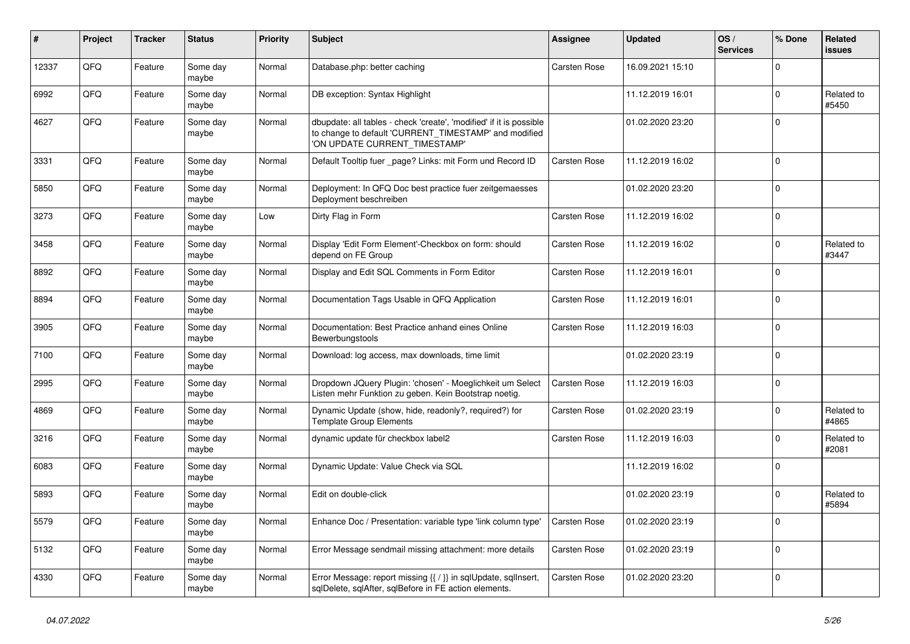| #     | Project | <b>Tracker</b> | <b>Status</b>     | <b>Priority</b> | <b>Subject</b>                                                                                                                                                | <b>Assignee</b>     | <b>Updated</b>   | OS/<br><b>Services</b> | % Done       | <b>Related</b><br><b>issues</b> |
|-------|---------|----------------|-------------------|-----------------|---------------------------------------------------------------------------------------------------------------------------------------------------------------|---------------------|------------------|------------------------|--------------|---------------------------------|
| 12337 | QFQ     | Feature        | Some day<br>maybe | Normal          | Database.php: better caching                                                                                                                                  | Carsten Rose        | 16.09.2021 15:10 |                        | $\Omega$     |                                 |
| 6992  | QFQ     | Feature        | Some day<br>maybe | Normal          | DB exception: Syntax Highlight                                                                                                                                |                     | 11.12.2019 16:01 |                        | $\Omega$     | Related to<br>#5450             |
| 4627  | QFQ     | Feature        | Some day<br>maybe | Normal          | dbupdate: all tables - check 'create', 'modified' if it is possible<br>to change to default 'CURRENT_TIMESTAMP' and modified<br>'ON UPDATE CURRENT_TIMESTAMP' |                     | 01.02.2020 23:20 |                        | $\Omega$     |                                 |
| 3331  | QFQ     | Feature        | Some day<br>maybe | Normal          | Default Tooltip fuer _page? Links: mit Form und Record ID                                                                                                     | <b>Carsten Rose</b> | 11.12.2019 16:02 |                        | $\Omega$     |                                 |
| 5850  | QFQ     | Feature        | Some day<br>maybe | Normal          | Deployment: In QFQ Doc best practice fuer zeitgemaesses<br>Deployment beschreiben                                                                             |                     | 01.02.2020 23:20 |                        | $\Omega$     |                                 |
| 3273  | QFQ     | Feature        | Some day<br>maybe | Low             | Dirty Flag in Form                                                                                                                                            | <b>Carsten Rose</b> | 11.12.2019 16:02 |                        | $\Omega$     |                                 |
| 3458  | QFQ     | Feature        | Some day<br>maybe | Normal          | Display 'Edit Form Element'-Checkbox on form: should<br>depend on FE Group                                                                                    | <b>Carsten Rose</b> | 11.12.2019 16:02 |                        | $\Omega$     | Related to<br>#3447             |
| 8892  | QFQ     | Feature        | Some day<br>maybe | Normal          | Display and Edit SQL Comments in Form Editor                                                                                                                  | <b>Carsten Rose</b> | 11.12.2019 16:01 |                        | $\Omega$     |                                 |
| 8894  | QFQ     | Feature        | Some day<br>maybe | Normal          | Documentation Tags Usable in QFQ Application                                                                                                                  | Carsten Rose        | 11.12.2019 16:01 |                        | $\Omega$     |                                 |
| 3905  | QFQ     | Feature        | Some day<br>maybe | Normal          | Documentation: Best Practice anhand eines Online<br><b>Bewerbungstools</b>                                                                                    | <b>Carsten Rose</b> | 11.12.2019 16:03 |                        | $\mathbf{0}$ |                                 |
| 7100  | QFQ     | Feature        | Some day<br>maybe | Normal          | Download: log access, max downloads, time limit                                                                                                               |                     | 01.02.2020 23:19 |                        | $\Omega$     |                                 |
| 2995  | QFQ     | Feature        | Some day<br>maybe | Normal          | Dropdown JQuery Plugin: 'chosen' - Moeglichkeit um Select<br>Listen mehr Funktion zu geben. Kein Bootstrap noetig.                                            | <b>Carsten Rose</b> | 11.12.2019 16:03 |                        | $\Omega$     |                                 |
| 4869  | QFQ     | Feature        | Some day<br>maybe | Normal          | Dynamic Update (show, hide, readonly?, required?) for<br><b>Template Group Elements</b>                                                                       | Carsten Rose        | 01.02.2020 23:19 |                        | $\Omega$     | Related to<br>#4865             |
| 3216  | QFQ     | Feature        | Some day<br>maybe | Normal          | dynamic update für checkbox label2                                                                                                                            | <b>Carsten Rose</b> | 11.12.2019 16:03 |                        | $\Omega$     | Related to<br>#2081             |
| 6083  | QFQ     | Feature        | Some day<br>maybe | Normal          | Dynamic Update: Value Check via SQL                                                                                                                           |                     | 11.12.2019 16:02 |                        | $\mathbf 0$  |                                 |
| 5893  | QFQ     | Feature        | Some day<br>maybe | Normal          | Edit on double-click                                                                                                                                          |                     | 01.02.2020 23:19 |                        | $\Omega$     | Related to<br>#5894             |
| 5579  | QFQ     | Feature        | Some day<br>maybe | Normal          | Enhance Doc / Presentation: variable type 'link column type'                                                                                                  | <b>Carsten Rose</b> | 01.02.2020 23:19 |                        | $\Omega$     |                                 |
| 5132  | QFQ     | Feature        | Some day<br>maybe | Normal          | Error Message sendmail missing attachment: more details                                                                                                       | Carsten Rose        | 01.02.2020 23:19 |                        | $\Omega$     |                                 |
| 4330  | QFQ     | Feature        | Some day<br>maybe | Normal          | Error Message: report missing {{ / }} in sqlUpdate, sqlInsert,<br>sqlDelete, sqlAfter, sqlBefore in FE action elements.                                       | Carsten Rose        | 01.02.2020 23:20 |                        | $\Omega$     |                                 |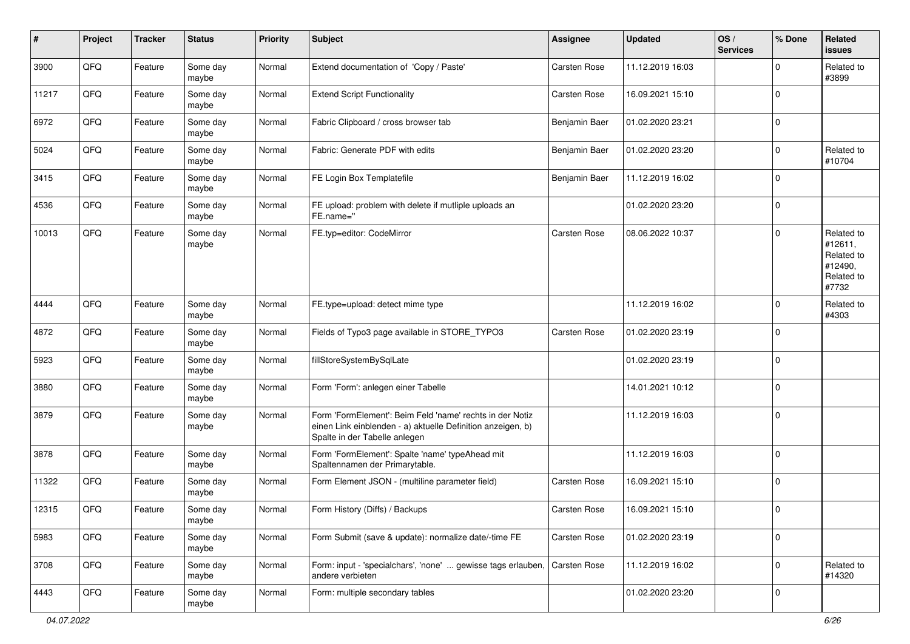| #     | Project | <b>Tracker</b> | <b>Status</b>     | <b>Priority</b> | <b>Subject</b>                                                                                                                                           | Assignee            | <b>Updated</b>   | OS/<br><b>Services</b> | % Done         | Related<br><b>issues</b>                                              |
|-------|---------|----------------|-------------------|-----------------|----------------------------------------------------------------------------------------------------------------------------------------------------------|---------------------|------------------|------------------------|----------------|-----------------------------------------------------------------------|
| 3900  | QFQ     | Feature        | Some day<br>maybe | Normal          | Extend documentation of 'Copy / Paste'                                                                                                                   | Carsten Rose        | 11.12.2019 16:03 |                        | 0              | Related to<br>#3899                                                   |
| 11217 | QFQ     | Feature        | Some day<br>maybe | Normal          | <b>Extend Script Functionality</b>                                                                                                                       | Carsten Rose        | 16.09.2021 15:10 |                        | $\mathbf 0$    |                                                                       |
| 6972  | QFQ     | Feature        | Some day<br>maybe | Normal          | Fabric Clipboard / cross browser tab                                                                                                                     | Benjamin Baer       | 01.02.2020 23:21 |                        | $\Omega$       |                                                                       |
| 5024  | QFQ     | Feature        | Some day<br>maybe | Normal          | Fabric: Generate PDF with edits                                                                                                                          | Benjamin Baer       | 01.02.2020 23:20 |                        | $\Omega$       | Related to<br>#10704                                                  |
| 3415  | QFQ     | Feature        | Some day<br>maybe | Normal          | FE Login Box Templatefile                                                                                                                                | Benjamin Baer       | 11.12.2019 16:02 |                        | $\Omega$       |                                                                       |
| 4536  | QFQ     | Feature        | Some day<br>maybe | Normal          | FE upload: problem with delete if mutliple uploads an<br>FE.name="                                                                                       |                     | 01.02.2020 23:20 |                        | $\Omega$       |                                                                       |
| 10013 | QFQ     | Feature        | Some day<br>maybe | Normal          | FE.typ=editor: CodeMirror                                                                                                                                | Carsten Rose        | 08.06.2022 10:37 |                        | $\Omega$       | Related to<br>#12611,<br>Related to<br>#12490,<br>Related to<br>#7732 |
| 4444  | QFQ     | Feature        | Some day<br>maybe | Normal          | FE.type=upload: detect mime type                                                                                                                         |                     | 11.12.2019 16:02 |                        | 0              | Related to<br>#4303                                                   |
| 4872  | QFQ     | Feature        | Some day<br>maybe | Normal          | Fields of Typo3 page available in STORE_TYPO3                                                                                                            | <b>Carsten Rose</b> | 01.02.2020 23:19 |                        | $\Omega$       |                                                                       |
| 5923  | QFQ     | Feature        | Some day<br>maybe | Normal          | fillStoreSystemBySqlLate                                                                                                                                 |                     | 01.02.2020 23:19 |                        | $\Omega$       |                                                                       |
| 3880  | QFQ     | Feature        | Some day<br>maybe | Normal          | Form 'Form': anlegen einer Tabelle                                                                                                                       |                     | 14.01.2021 10:12 |                        | $\Omega$       |                                                                       |
| 3879  | QFQ     | Feature        | Some day<br>maybe | Normal          | Form 'FormElement': Beim Feld 'name' rechts in der Notiz<br>einen Link einblenden - a) aktuelle Definition anzeigen, b)<br>Spalte in der Tabelle anlegen |                     | 11.12.2019 16:03 |                        | $\Omega$       |                                                                       |
| 3878  | QFQ     | Feature        | Some day<br>maybe | Normal          | Form 'FormElement': Spalte 'name' typeAhead mit<br>Spaltennamen der Primarytable.                                                                        |                     | 11.12.2019 16:03 |                        | $\Omega$       |                                                                       |
| 11322 | QFQ     | Feature        | Some day<br>maybe | Normal          | Form Element JSON - (multiline parameter field)                                                                                                          | Carsten Rose        | 16.09.2021 15:10 |                        | $\mathbf 0$    |                                                                       |
| 12315 | QFQ     | Feature        | Some day<br>maybe | Normal          | Form History (Diffs) / Backups                                                                                                                           | Carsten Rose        | 16.09.2021 15:10 |                        | $\overline{0}$ |                                                                       |
| 5983  | QFQ     | Feature        | Some day<br>maybe | Normal          | Form Submit (save & update): normalize date/-time FE                                                                                                     | Carsten Rose        | 01.02.2020 23:19 |                        | $\Omega$       |                                                                       |
| 3708  | QFQ     | Feature        | Some day<br>maybe | Normal          | Form: input - 'specialchars', 'none'  gewisse tags erlauben,<br>andere verbieten                                                                         | Carsten Rose        | 11.12.2019 16:02 |                        | $\mathbf 0$    | Related to<br>#14320                                                  |
| 4443  | QFQ     | Feature        | Some day<br>maybe | Normal          | Form: multiple secondary tables                                                                                                                          |                     | 01.02.2020 23:20 |                        | $\overline{0}$ |                                                                       |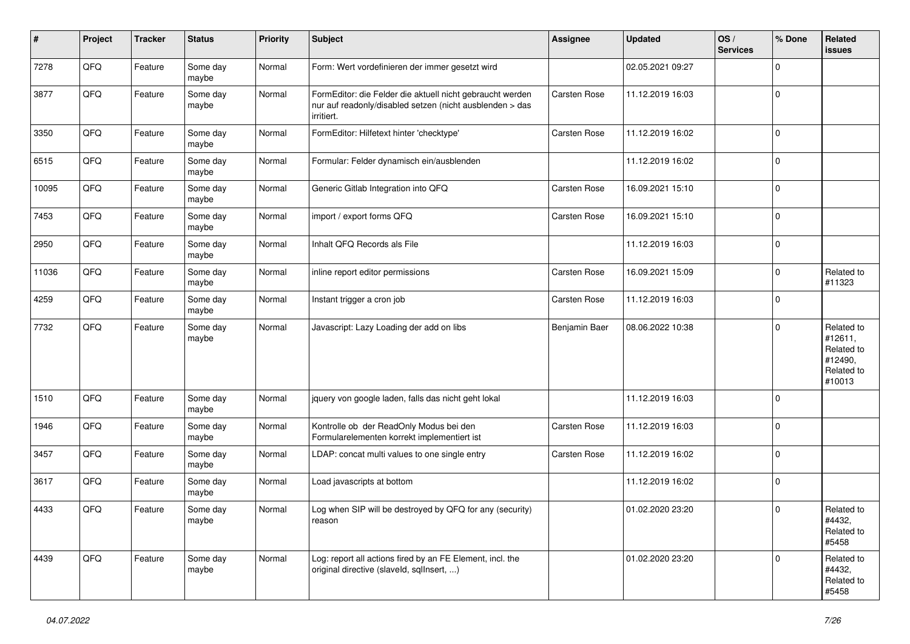| #     | Project | <b>Tracker</b> | <b>Status</b>     | <b>Priority</b> | <b>Subject</b>                                                                                                                      | Assignee            | <b>Updated</b>   | OS/<br><b>Services</b> | % Done         | Related<br>issues                                                      |
|-------|---------|----------------|-------------------|-----------------|-------------------------------------------------------------------------------------------------------------------------------------|---------------------|------------------|------------------------|----------------|------------------------------------------------------------------------|
| 7278  | QFQ     | Feature        | Some day<br>maybe | Normal          | Form: Wert vordefinieren der immer gesetzt wird                                                                                     |                     | 02.05.2021 09:27 |                        | $\mathbf 0$    |                                                                        |
| 3877  | QFQ     | Feature        | Some day<br>maybe | Normal          | FormEditor: die Felder die aktuell nicht gebraucht werden<br>nur auf readonly/disabled setzen (nicht ausblenden > das<br>irritiert. | <b>Carsten Rose</b> | 11.12.2019 16:03 |                        | $\mathbf 0$    |                                                                        |
| 3350  | QFQ     | Feature        | Some day<br>maybe | Normal          | FormEditor: Hilfetext hinter 'checktype'                                                                                            | Carsten Rose        | 11.12.2019 16:02 |                        | $\mathbf 0$    |                                                                        |
| 6515  | QFQ     | Feature        | Some day<br>maybe | Normal          | Formular: Felder dynamisch ein/ausblenden                                                                                           |                     | 11.12.2019 16:02 |                        | $\mathbf 0$    |                                                                        |
| 10095 | QFQ     | Feature        | Some day<br>maybe | Normal          | Generic Gitlab Integration into QFQ                                                                                                 | <b>Carsten Rose</b> | 16.09.2021 15:10 |                        | $\mathbf 0$    |                                                                        |
| 7453  | QFQ     | Feature        | Some day<br>maybe | Normal          | import / export forms QFQ                                                                                                           | <b>Carsten Rose</b> | 16.09.2021 15:10 |                        | $\mathbf 0$    |                                                                        |
| 2950  | QFQ     | Feature        | Some day<br>maybe | Normal          | Inhalt QFQ Records als File                                                                                                         |                     | 11.12.2019 16:03 |                        | $\Omega$       |                                                                        |
| 11036 | QFQ     | Feature        | Some day<br>maybe | Normal          | inline report editor permissions                                                                                                    | <b>Carsten Rose</b> | 16.09.2021 15:09 |                        | $\mathbf 0$    | Related to<br>#11323                                                   |
| 4259  | QFQ     | Feature        | Some day<br>maybe | Normal          | Instant trigger a cron job                                                                                                          | Carsten Rose        | 11.12.2019 16:03 |                        | $\mathbf 0$    |                                                                        |
| 7732  | QFQ     | Feature        | Some day<br>maybe | Normal          | Javascript: Lazy Loading der add on libs                                                                                            | Benjamin Baer       | 08.06.2022 10:38 |                        | $\mathbf 0$    | Related to<br>#12611,<br>Related to<br>#12490,<br>Related to<br>#10013 |
| 1510  | QFQ     | Feature        | Some day<br>maybe | Normal          | jquery von google laden, falls das nicht geht lokal                                                                                 |                     | 11.12.2019 16:03 |                        | $\Omega$       |                                                                        |
| 1946  | QFQ     | Feature        | Some day<br>maybe | Normal          | Kontrolle ob der ReadOnly Modus bei den<br>Formularelementen korrekt implementiert ist                                              | Carsten Rose        | 11.12.2019 16:03 |                        | $\Omega$       |                                                                        |
| 3457  | QFQ     | Feature        | Some day<br>maybe | Normal          | LDAP: concat multi values to one single entry                                                                                       | Carsten Rose        | 11.12.2019 16:02 |                        | $\overline{0}$ |                                                                        |
| 3617  | QFQ     | Feature        | Some day<br>maybe | Normal          | Load javascripts at bottom                                                                                                          |                     | 11.12.2019 16:02 |                        | $\overline{0}$ |                                                                        |
| 4433  | QFQ     | Feature        | Some day<br>maybe | Normal          | Log when SIP will be destroyed by QFQ for any (security)<br>reason                                                                  |                     | 01.02.2020 23:20 |                        | $\mathbf 0$    | Related to<br>#4432,<br>Related to<br>#5458                            |
| 4439  | QFQ     | Feature        | Some day<br>maybe | Normal          | Log: report all actions fired by an FE Element, incl. the<br>original directive (slaveld, sqllnsert, )                              |                     | 01.02.2020 23:20 |                        | $\Omega$       | Related to<br>#4432,<br>Related to<br>#5458                            |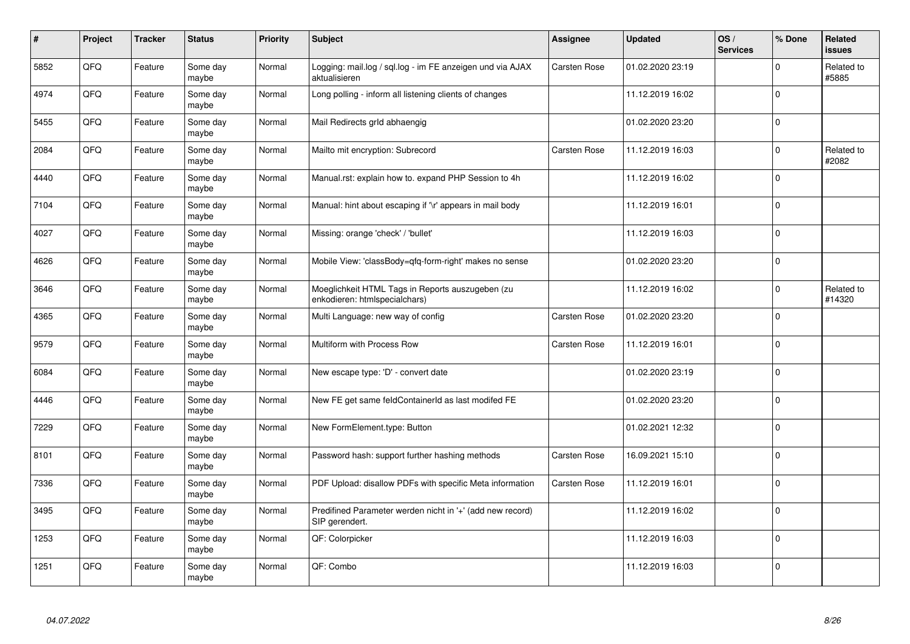| $\vert$ # | Project | <b>Tracker</b> | <b>Status</b>     | <b>Priority</b> | <b>Subject</b>                                                                    | <b>Assignee</b>     | <b>Updated</b>   | OS/<br><b>Services</b> | % Done       | Related<br><b>issues</b> |
|-----------|---------|----------------|-------------------|-----------------|-----------------------------------------------------------------------------------|---------------------|------------------|------------------------|--------------|--------------------------|
| 5852      | QFQ     | Feature        | Some day<br>maybe | Normal          | Logging: mail.log / sql.log - im FE anzeigen und via AJAX<br>aktualisieren        | <b>Carsten Rose</b> | 01.02.2020 23:19 |                        | $\Omega$     | Related to<br>#5885      |
| 4974      | QFQ     | Feature        | Some day<br>maybe | Normal          | Long polling - inform all listening clients of changes                            |                     | 11.12.2019 16:02 |                        | $\Omega$     |                          |
| 5455      | QFQ     | Feature        | Some day<br>maybe | Normal          | Mail Redirects grld abhaengig                                                     |                     | 01.02.2020 23:20 |                        | $\mathbf{0}$ |                          |
| 2084      | QFQ     | Feature        | Some day<br>maybe | Normal          | Mailto mit encryption: Subrecord                                                  | Carsten Rose        | 11.12.2019 16:03 |                        | $\Omega$     | Related to<br>#2082      |
| 4440      | QFQ     | Feature        | Some day<br>maybe | Normal          | Manual.rst: explain how to. expand PHP Session to 4h                              |                     | 11.12.2019 16:02 |                        | $\Omega$     |                          |
| 7104      | QFQ     | Feature        | Some day<br>maybe | Normal          | Manual: hint about escaping if '\r' appears in mail body                          |                     | 11.12.2019 16:01 |                        | $\mathbf 0$  |                          |
| 4027      | QFO     | Feature        | Some day<br>maybe | Normal          | Missing: orange 'check' / 'bullet'                                                |                     | 11.12.2019 16:03 |                        | $\mathbf{0}$ |                          |
| 4626      | QFQ     | Feature        | Some day<br>maybe | Normal          | Mobile View: 'classBody=qfq-form-right' makes no sense                            |                     | 01.02.2020 23:20 |                        | $\Omega$     |                          |
| 3646      | QFQ     | Feature        | Some day<br>maybe | Normal          | Moeglichkeit HTML Tags in Reports auszugeben (zu<br>enkodieren: htmlspecialchars) |                     | 11.12.2019 16:02 |                        | $\Omega$     | Related to<br>#14320     |
| 4365      | QFQ     | Feature        | Some day<br>maybe | Normal          | Multi Language: new way of config                                                 | Carsten Rose        | 01.02.2020 23:20 |                        | $\mathbf{0}$ |                          |
| 9579      | QFQ     | Feature        | Some day<br>maybe | Normal          | Multiform with Process Row                                                        | Carsten Rose        | 11.12.2019 16:01 |                        | $\Omega$     |                          |
| 6084      | QFG     | Feature        | Some day<br>maybe | Normal          | New escape type: 'D' - convert date                                               |                     | 01.02.2020 23:19 |                        | $\Omega$     |                          |
| 4446      | QFQ     | Feature        | Some day<br>maybe | Normal          | New FE get same feldContainerId as last modifed FE                                |                     | 01.02.2020 23:20 |                        | $\mathbf 0$  |                          |
| 7229      | QFQ     | Feature        | Some day<br>maybe | Normal          | New FormElement.type: Button                                                      |                     | 01.02.2021 12:32 |                        | $\mathbf 0$  |                          |
| 8101      | QFQ     | Feature        | Some day<br>maybe | Normal          | Password hash: support further hashing methods                                    | Carsten Rose        | 16.09.2021 15:10 |                        | $\Omega$     |                          |
| 7336      | QFQ     | Feature        | Some day<br>maybe | Normal          | PDF Upload: disallow PDFs with specific Meta information                          | Carsten Rose        | 11.12.2019 16:01 |                        | $\Omega$     |                          |
| 3495      | QFQ     | Feature        | Some day<br>maybe | Normal          | Predifined Parameter werden nicht in '+' (add new record)<br>SIP gerendert.       |                     | 11.12.2019 16:02 |                        | $\Omega$     |                          |
| 1253      | QFQ     | Feature        | Some day<br>maybe | Normal          | QF: Colorpicker                                                                   |                     | 11.12.2019 16:03 |                        | $\mathbf 0$  |                          |
| 1251      | QFQ     | Feature        | Some day<br>maybe | Normal          | QF: Combo                                                                         |                     | 11.12.2019 16:03 |                        | $\Omega$     |                          |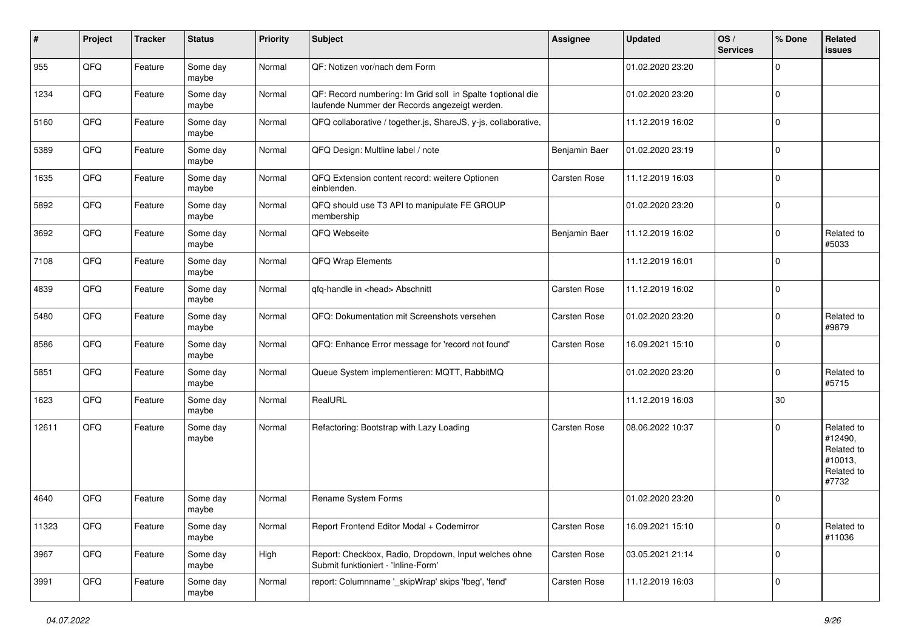| #     | Project | <b>Tracker</b> | <b>Status</b>     | <b>Priority</b> | <b>Subject</b>                                                                                               | Assignee            | <b>Updated</b>   | OS/<br><b>Services</b> | % Done       | Related<br>issues                                                     |
|-------|---------|----------------|-------------------|-----------------|--------------------------------------------------------------------------------------------------------------|---------------------|------------------|------------------------|--------------|-----------------------------------------------------------------------|
| 955   | QFQ     | Feature        | Some day<br>maybe | Normal          | QF: Notizen vor/nach dem Form                                                                                |                     | 01.02.2020 23:20 |                        | $\mathbf 0$  |                                                                       |
| 1234  | QFQ     | Feature        | Some day<br>maybe | Normal          | QF: Record numbering: Im Grid soll in Spalte 1 optional die<br>laufende Nummer der Records angezeigt werden. |                     | 01.02.2020 23:20 |                        | $\mathbf 0$  |                                                                       |
| 5160  | QFQ     | Feature        | Some day<br>maybe | Normal          | QFQ collaborative / together.js, ShareJS, y-js, collaborative,                                               |                     | 11.12.2019 16:02 |                        | $\mathbf 0$  |                                                                       |
| 5389  | QFQ     | Feature        | Some day<br>maybe | Normal          | QFQ Design: Multline label / note                                                                            | Benjamin Baer       | 01.02.2020 23:19 |                        | $\mathbf 0$  |                                                                       |
| 1635  | QFQ     | Feature        | Some day<br>maybe | Normal          | QFQ Extension content record: weitere Optionen<br>einblenden.                                                | Carsten Rose        | 11.12.2019 16:03 |                        | $\mathbf 0$  |                                                                       |
| 5892  | QFQ     | Feature        | Some day<br>maybe | Normal          | QFQ should use T3 API to manipulate FE GROUP<br>membership                                                   |                     | 01.02.2020 23:20 |                        | $\mathbf{0}$ |                                                                       |
| 3692  | QFQ     | Feature        | Some day<br>maybe | Normal          | QFQ Webseite                                                                                                 | Benjamin Baer       | 11.12.2019 16:02 |                        | $\mathbf 0$  | Related to<br>#5033                                                   |
| 7108  | QFQ     | Feature        | Some day<br>maybe | Normal          | QFQ Wrap Elements                                                                                            |                     | 11.12.2019 16:01 |                        | $\mathbf 0$  |                                                                       |
| 4839  | QFQ     | Feature        | Some day<br>maybe | Normal          | gfg-handle in <head> Abschnitt</head>                                                                        | <b>Carsten Rose</b> | 11.12.2019 16:02 |                        | $\mathbf 0$  |                                                                       |
| 5480  | QFQ     | Feature        | Some day<br>maybe | Normal          | QFQ: Dokumentation mit Screenshots versehen                                                                  | Carsten Rose        | 01.02.2020 23:20 |                        | $\mathbf 0$  | Related to<br>#9879                                                   |
| 8586  | QFQ     | Feature        | Some day<br>maybe | Normal          | QFQ: Enhance Error message for 'record not found'                                                            | <b>Carsten Rose</b> | 16.09.2021 15:10 |                        | $\mathbf 0$  |                                                                       |
| 5851  | QFQ     | Feature        | Some day<br>maybe | Normal          | Queue System implementieren: MQTT, RabbitMQ                                                                  |                     | 01.02.2020 23:20 |                        | $\mathbf 0$  | Related to<br>#5715                                                   |
| 1623  | QFQ     | Feature        | Some day<br>maybe | Normal          | RealURL                                                                                                      |                     | 11.12.2019 16:03 |                        | 30           |                                                                       |
| 12611 | QFQ     | Feature        | Some day<br>maybe | Normal          | Refactoring: Bootstrap with Lazy Loading                                                                     | <b>Carsten Rose</b> | 08.06.2022 10:37 |                        | $\mathbf 0$  | Related to<br>#12490,<br>Related to<br>#10013,<br>Related to<br>#7732 |
| 4640  | QFQ     | Feature        | Some day<br>maybe | Normal          | Rename System Forms                                                                                          |                     | 01.02.2020 23:20 |                        | $\Omega$     |                                                                       |
| 11323 | QFO     | Feature        | Some day<br>maybe | Normal          | Report Frontend Editor Modal + Codemirror                                                                    | Carsten Rose        | 16.09.2021 15:10 |                        | $\mathbf 0$  | Related to<br>#11036                                                  |
| 3967  | QFQ     | Feature        | Some day<br>maybe | High            | Report: Checkbox, Radio, Dropdown, Input welches ohne<br>Submit funktioniert - 'Inline-Form'                 | Carsten Rose        | 03.05.2021 21:14 |                        | $\mathbf 0$  |                                                                       |
| 3991  | QFO     | Feature        | Some day<br>maybe | Normal          | report: Columnname '_skipWrap' skips 'fbeg', 'fend'                                                          | Carsten Rose        | 11.12.2019 16:03 |                        | $\mathbf 0$  |                                                                       |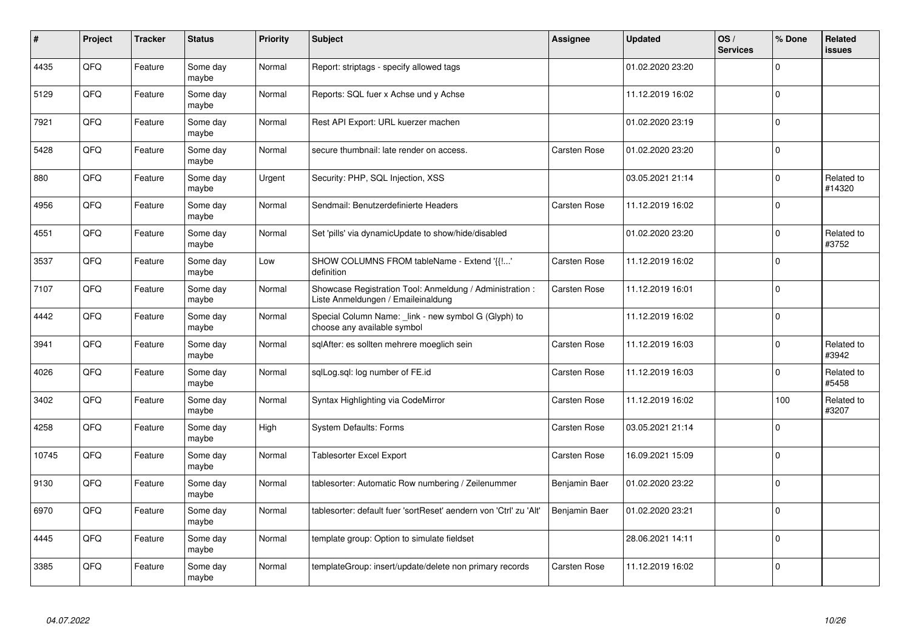| #     | Project | <b>Tracker</b> | <b>Status</b>     | <b>Priority</b> | <b>Subject</b>                                                                                 | Assignee            | <b>Updated</b>   | OS/<br><b>Services</b> | % Done       | Related<br><b>issues</b> |
|-------|---------|----------------|-------------------|-----------------|------------------------------------------------------------------------------------------------|---------------------|------------------|------------------------|--------------|--------------------------|
| 4435  | QFQ     | Feature        | Some day<br>maybe | Normal          | Report: striptags - specify allowed tags                                                       |                     | 01.02.2020 23:20 |                        | $\Omega$     |                          |
| 5129  | QFQ     | Feature        | Some day<br>maybe | Normal          | Reports: SQL fuer x Achse und y Achse                                                          |                     | 11.12.2019 16:02 |                        | $\Omega$     |                          |
| 7921  | QFQ     | Feature        | Some day<br>maybe | Normal          | Rest API Export: URL kuerzer machen                                                            |                     | 01.02.2020 23:19 |                        | $\mathbf 0$  |                          |
| 5428  | QFQ     | Feature        | Some day<br>maybe | Normal          | secure thumbnail: late render on access.                                                       | <b>Carsten Rose</b> | 01.02.2020 23:20 |                        | $\Omega$     |                          |
| 880   | QFQ     | Feature        | Some day<br>maybe | Urgent          | Security: PHP, SQL Injection, XSS                                                              |                     | 03.05.2021 21:14 |                        | $\Omega$     | Related to<br>#14320     |
| 4956  | QFQ     | Feature        | Some day<br>maybe | Normal          | Sendmail: Benutzerdefinierte Headers                                                           | Carsten Rose        | 11.12.2019 16:02 |                        | $\mathbf{0}$ |                          |
| 4551  | QFQ     | Feature        | Some day<br>maybe | Normal          | Set 'pills' via dynamicUpdate to show/hide/disabled                                            |                     | 01.02.2020 23:20 |                        | $\Omega$     | Related to<br>#3752      |
| 3537  | QFQ     | Feature        | Some day<br>maybe | Low             | SHOW COLUMNS FROM tableName - Extend '{{!'<br>definition                                       | Carsten Rose        | 11.12.2019 16:02 |                        | $\Omega$     |                          |
| 7107  | QFQ     | Feature        | Some day<br>maybe | Normal          | Showcase Registration Tool: Anmeldung / Administration :<br>Liste Anmeldungen / Emaileinaldung | <b>Carsten Rose</b> | 11.12.2019 16:01 |                        | $\Omega$     |                          |
| 4442  | QFQ     | Feature        | Some day<br>maybe | Normal          | Special Column Name: _link - new symbol G (Glyph) to<br>choose any available symbol            |                     | 11.12.2019 16:02 |                        | $\mathbf 0$  |                          |
| 3941  | QFQ     | Feature        | Some day<br>maybe | Normal          | sqlAfter: es sollten mehrere moeglich sein                                                     | Carsten Rose        | 11.12.2019 16:03 |                        | $\Omega$     | Related to<br>#3942      |
| 4026  | QFQ     | Feature        | Some day<br>maybe | Normal          | sglLog.sgl: log number of FE.id                                                                | <b>Carsten Rose</b> | 11.12.2019 16:03 |                        | $\Omega$     | Related to<br>#5458      |
| 3402  | QFQ     | Feature        | Some day<br>maybe | Normal          | Syntax Highlighting via CodeMirror                                                             | <b>Carsten Rose</b> | 11.12.2019 16:02 |                        | 100          | Related to<br>#3207      |
| 4258  | QFQ     | Feature        | Some day<br>maybe | High            | <b>System Defaults: Forms</b>                                                                  | Carsten Rose        | 03.05.2021 21:14 |                        | $\Omega$     |                          |
| 10745 | QFQ     | Feature        | Some day<br>maybe | Normal          | Tablesorter Excel Export                                                                       | Carsten Rose        | 16.09.2021 15:09 |                        | $\Omega$     |                          |
| 9130  | QFQ     | Feature        | Some day<br>maybe | Normal          | tablesorter: Automatic Row numbering / Zeilenummer                                             | Benjamin Baer       | 01.02.2020 23:22 |                        | $\Omega$     |                          |
| 6970  | QFQ     | Feature        | Some day<br>maybe | Normal          | tablesorter: default fuer 'sortReset' aendern von 'Ctrl' zu 'Alt'                              | Benjamin Baer       | 01.02.2020 23:21 |                        | $\Omega$     |                          |
| 4445  | QFQ     | Feature        | Some day<br>maybe | Normal          | template group: Option to simulate fieldset                                                    |                     | 28.06.2021 14:11 |                        | $\Omega$     |                          |
| 3385  | QFQ     | Feature        | Some day<br>maybe | Normal          | templateGroup: insert/update/delete non primary records                                        | Carsten Rose        | 11.12.2019 16:02 |                        | $\Omega$     |                          |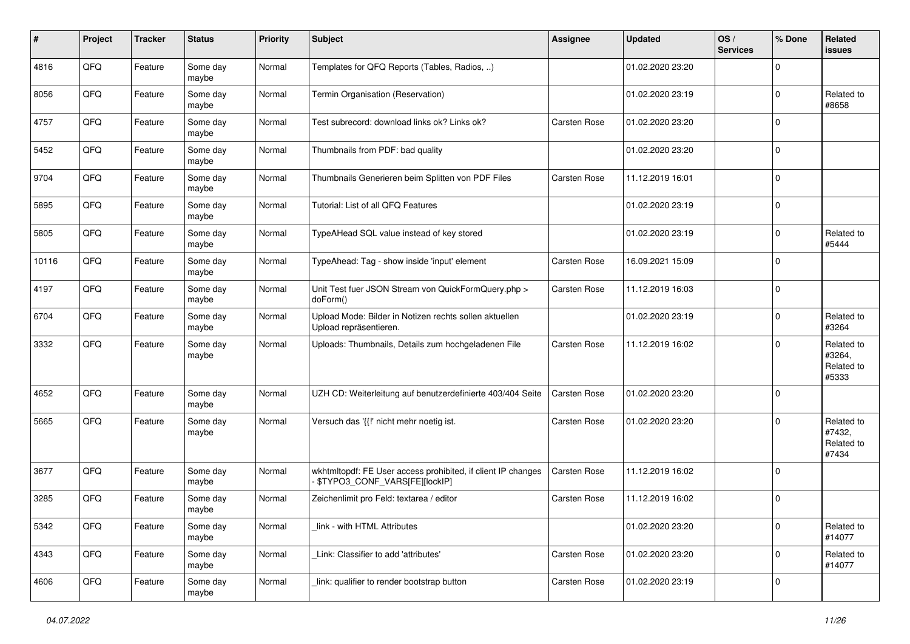| #     | Project | <b>Tracker</b> | <b>Status</b>     | <b>Priority</b> | <b>Subject</b>                                                                                | Assignee            | <b>Updated</b>   | OS/<br><b>Services</b> | % Done       | Related<br><b>issues</b>                    |
|-------|---------|----------------|-------------------|-----------------|-----------------------------------------------------------------------------------------------|---------------------|------------------|------------------------|--------------|---------------------------------------------|
| 4816  | QFQ     | Feature        | Some day<br>maybe | Normal          | Templates for QFQ Reports (Tables, Radios, )                                                  |                     | 01.02.2020 23:20 |                        | $\mathbf 0$  |                                             |
| 8056  | QFQ     | Feature        | Some day<br>maybe | Normal          | Termin Organisation (Reservation)                                                             |                     | 01.02.2020 23:19 |                        | $\mathbf 0$  | Related to<br>#8658                         |
| 4757  | QFQ     | Feature        | Some day<br>maybe | Normal          | Test subrecord: download links ok? Links ok?                                                  | <b>Carsten Rose</b> | 01.02.2020 23:20 |                        | $\mathbf 0$  |                                             |
| 5452  | QFQ     | Feature        | Some day<br>maybe | Normal          | Thumbnails from PDF: bad quality                                                              |                     | 01.02.2020 23:20 |                        | $\mathbf 0$  |                                             |
| 9704  | QFQ     | Feature        | Some day<br>maybe | Normal          | Thumbnails Generieren beim Splitten von PDF Files                                             | Carsten Rose        | 11.12.2019 16:01 |                        | $\mathbf 0$  |                                             |
| 5895  | QFQ     | Feature        | Some day<br>maybe | Normal          | Tutorial: List of all QFQ Features                                                            |                     | 01.02.2020 23:19 |                        | $\mathbf 0$  |                                             |
| 5805  | QFQ     | Feature        | Some day<br>maybe | Normal          | TypeAHead SQL value instead of key stored                                                     |                     | 01.02.2020 23:19 |                        | $\mathbf 0$  | Related to<br>#5444                         |
| 10116 | QFQ     | Feature        | Some day<br>maybe | Normal          | TypeAhead: Tag - show inside 'input' element                                                  | Carsten Rose        | 16.09.2021 15:09 |                        | $\mathbf 0$  |                                             |
| 4197  | QFQ     | Feature        | Some day<br>maybe | Normal          | Unit Test fuer JSON Stream von QuickFormQuery.php ><br>doForm()                               | Carsten Rose        | 11.12.2019 16:03 |                        | $\mathbf 0$  |                                             |
| 6704  | QFQ     | Feature        | Some day<br>maybe | Normal          | Upload Mode: Bilder in Notizen rechts sollen aktuellen<br>Upload repräsentieren.              |                     | 01.02.2020 23:19 |                        | $\mathbf 0$  | Related to<br>#3264                         |
| 3332  | QFQ     | Feature        | Some day<br>maybe | Normal          | Uploads: Thumbnails, Details zum hochgeladenen File                                           | <b>Carsten Rose</b> | 11.12.2019 16:02 |                        | $\mathbf 0$  | Related to<br>#3264,<br>Related to<br>#5333 |
| 4652  | QFQ     | Feature        | Some day<br>maybe | Normal          | UZH CD: Weiterleitung auf benutzerdefinierte 403/404 Seite                                    | Carsten Rose        | 01.02.2020 23:20 |                        | $\mathbf 0$  |                                             |
| 5665  | QFQ     | Feature        | Some day<br>maybe | Normal          | Versuch das '{{!' nicht mehr noetig ist.                                                      | Carsten Rose        | 01.02.2020 23:20 |                        | $\mathbf{0}$ | Related to<br>#7432,<br>Related to<br>#7434 |
| 3677  | QFQ     | Feature        | Some day<br>maybe | Normal          | wkhtmltopdf: FE User access prohibited, if client IP changes<br>\$TYPO3_CONF_VARS[FE][lockIP] | <b>Carsten Rose</b> | 11.12.2019 16:02 |                        | $\mathbf 0$  |                                             |
| 3285  | QFQ     | Feature        | Some day<br>maybe | Normal          | Zeichenlimit pro Feld: textarea / editor                                                      | Carsten Rose        | 11.12.2019 16:02 |                        | $\mathbf 0$  |                                             |
| 5342  | QFQ     | Feature        | Some day<br>maybe | Normal          | link - with HTML Attributes                                                                   |                     | 01.02.2020 23:20 |                        | $\mathbf 0$  | Related to<br>#14077                        |
| 4343  | QFQ     | Feature        | Some day<br>maybe | Normal          | Link: Classifier to add 'attributes'                                                          | Carsten Rose        | 01.02.2020 23:20 |                        | $\mathbf 0$  | Related to<br>#14077                        |
| 4606  | QFG     | Feature        | Some day<br>maybe | Normal          | link: qualifier to render bootstrap button                                                    | Carsten Rose        | 01.02.2020 23:19 |                        | $\mathbf 0$  |                                             |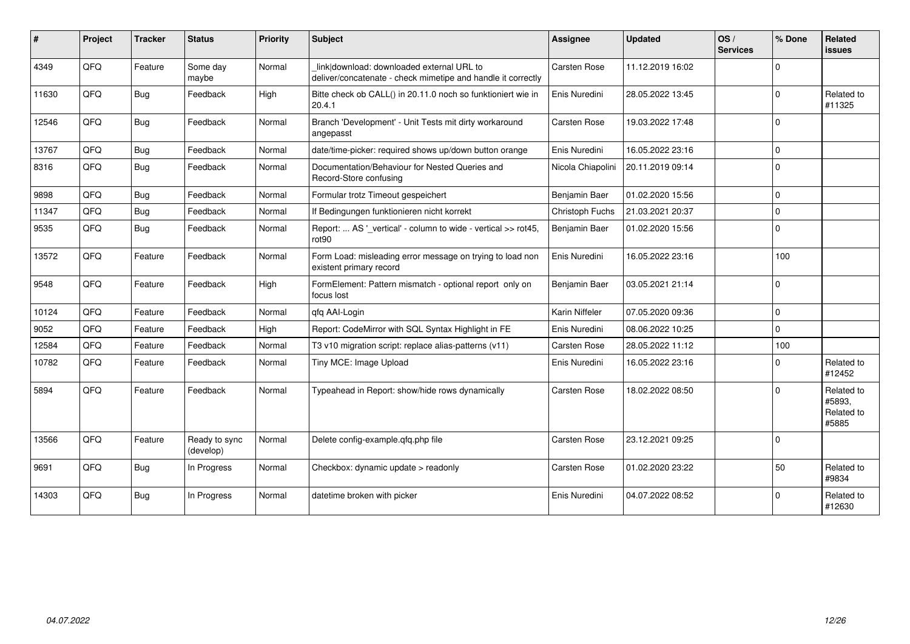| #     | Project | <b>Tracker</b> | <b>Status</b>              | <b>Priority</b> | Subject                                                                                                   | <b>Assignee</b>     | <b>Updated</b>   | OS/<br><b>Services</b> | % Done      | Related<br>issues                           |
|-------|---------|----------------|----------------------------|-----------------|-----------------------------------------------------------------------------------------------------------|---------------------|------------------|------------------------|-------------|---------------------------------------------|
| 4349  | QFQ     | Feature        | Some day<br>maybe          | Normal          | link download: downloaded external URL to<br>deliver/concatenate - check mimetipe and handle it correctly | Carsten Rose        | 11.12.2019 16:02 |                        | $\Omega$    |                                             |
| 11630 | QFQ     | <b>Bug</b>     | Feedback                   | High            | Bitte check ob CALL() in 20.11.0 noch so funktioniert wie in<br>20.4.1                                    | Enis Nuredini       | 28.05.2022 13:45 |                        | $\Omega$    | Related to<br>#11325                        |
| 12546 | QFQ     | Bug            | Feedback                   | Normal          | Branch 'Development' - Unit Tests mit dirty workaround<br>angepasst                                       | <b>Carsten Rose</b> | 19.03.2022 17:48 |                        | $\Omega$    |                                             |
| 13767 | QFQ     | <b>Bug</b>     | Feedback                   | Normal          | date/time-picker: required shows up/down button orange                                                    | Enis Nuredini       | 16.05.2022 23:16 |                        | $\Omega$    |                                             |
| 8316  | QFQ     | <b>Bug</b>     | Feedback                   | Normal          | Documentation/Behaviour for Nested Queries and<br>Record-Store confusing                                  | Nicola Chiapolini   | 20.11.2019 09:14 |                        | $\Omega$    |                                             |
| 9898  | QFQ     | Bug            | Feedback                   | Normal          | Formular trotz Timeout gespeichert                                                                        | Benjamin Baer       | 01.02.2020 15:56 |                        | $\mathbf 0$ |                                             |
| 11347 | QFQ     | <b>Bug</b>     | Feedback                   | Normal          | If Bedingungen funktionieren nicht korrekt                                                                | Christoph Fuchs     | 21.03.2021 20:37 |                        | $\Omega$    |                                             |
| 9535  | QFQ     | Bug            | Feedback                   | Normal          | Report:  AS '_vertical' - column to wide - vertical >> rot45,<br>rot90                                    | Benjamin Baer       | 01.02.2020 15:56 |                        | $\Omega$    |                                             |
| 13572 | QFQ     | Feature        | Feedback                   | Normal          | Form Load: misleading error message on trying to load non<br>existent primary record                      | Enis Nuredini       | 16.05.2022 23:16 |                        | 100         |                                             |
| 9548  | QFQ     | Feature        | Feedback                   | High            | FormElement: Pattern mismatch - optional report only on<br>focus lost                                     | Benjamin Baer       | 03.05.2021 21:14 |                        | $\Omega$    |                                             |
| 10124 | QFQ     | Feature        | Feedback                   | Normal          | qfq AAI-Login                                                                                             | Karin Niffeler      | 07.05.2020 09:36 |                        | $\Omega$    |                                             |
| 9052  | QFQ     | Feature        | Feedback                   | High            | Report: CodeMirror with SQL Syntax Highlight in FE                                                        | Enis Nuredini       | 08.06.2022 10:25 |                        | $\Omega$    |                                             |
| 12584 | QFQ     | Feature        | Feedback                   | Normal          | T3 v10 migration script: replace alias-patterns (v11)                                                     | <b>Carsten Rose</b> | 28.05.2022 11:12 |                        | 100         |                                             |
| 10782 | QFQ     | Feature        | Feedback                   | Normal          | Tiny MCE: Image Upload                                                                                    | Enis Nuredini       | 16.05.2022 23:16 |                        | $\Omega$    | Related to<br>#12452                        |
| 5894  | QFQ     | Feature        | Feedback                   | Normal          | Typeahead in Report: show/hide rows dynamically                                                           | Carsten Rose        | 18.02.2022 08:50 |                        | $\Omega$    | Related to<br>#5893.<br>Related to<br>#5885 |
| 13566 | QFQ     | Feature        | Ready to sync<br>(develop) | Normal          | Delete config-example.qfq.php file                                                                        | <b>Carsten Rose</b> | 23.12.2021 09:25 |                        | $\Omega$    |                                             |
| 9691  | QFQ     | Bug            | In Progress                | Normal          | Checkbox: dynamic update > readonly                                                                       | <b>Carsten Rose</b> | 01.02.2020 23:22 |                        | 50          | Related to<br>#9834                         |
| 14303 | QFQ     | Bug            | In Progress                | Normal          | datetime broken with picker                                                                               | Enis Nuredini       | 04.07.2022 08:52 |                        | $\Omega$    | Related to<br>#12630                        |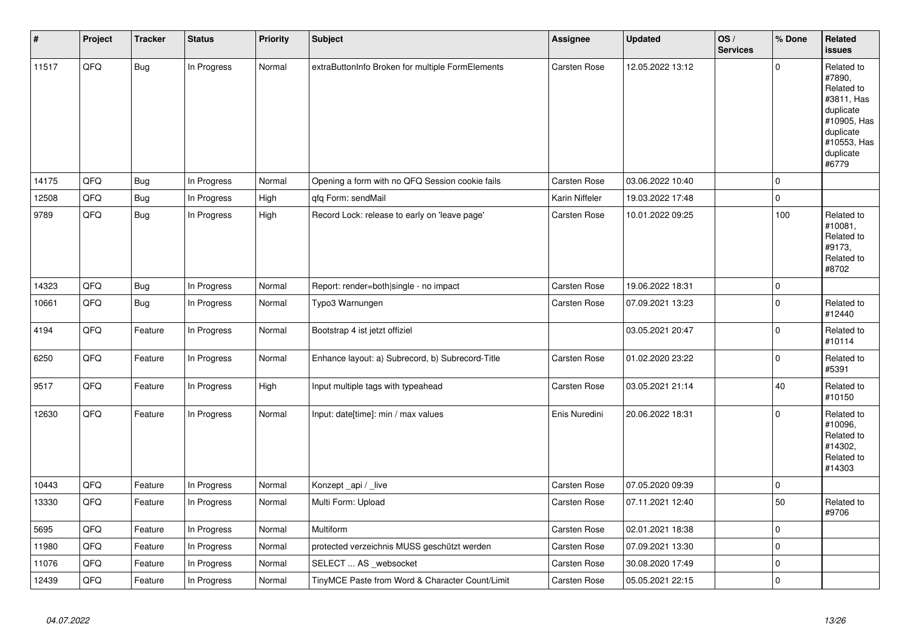| $\pmb{\#}$ | Project | <b>Tracker</b> | <b>Status</b> | <b>Priority</b> | <b>Subject</b>                                   | Assignee            | <b>Updated</b>   | OS/<br><b>Services</b> | % Done       | Related<br><b>issues</b>                                                                                                       |
|------------|---------|----------------|---------------|-----------------|--------------------------------------------------|---------------------|------------------|------------------------|--------------|--------------------------------------------------------------------------------------------------------------------------------|
| 11517      | QFQ     | <b>Bug</b>     | In Progress   | Normal          | extraButtonInfo Broken for multiple FormElements | Carsten Rose        | 12.05.2022 13:12 |                        | $\mathbf{0}$ | Related to<br>#7890,<br>Related to<br>#3811, Has<br>duplicate<br>#10905, Has<br>duplicate<br>#10553, Has<br>duplicate<br>#6779 |
| 14175      | QFQ     | <b>Bug</b>     | In Progress   | Normal          | Opening a form with no QFQ Session cookie fails  | Carsten Rose        | 03.06.2022 10:40 |                        | $\mathbf 0$  |                                                                                                                                |
| 12508      | QFQ     | <b>Bug</b>     | In Progress   | High            | qfq Form: sendMail                               | Karin Niffeler      | 19.03.2022 17:48 |                        | $\mathbf{0}$ |                                                                                                                                |
| 9789       | QFQ     | <b>Bug</b>     | In Progress   | High            | Record Lock: release to early on 'leave page'    | <b>Carsten Rose</b> | 10.01.2022 09:25 |                        | 100          | Related to<br>#10081,<br>Related to<br>#9173,<br>Related to<br>#8702                                                           |
| 14323      | QFQ     | Bug            | In Progress   | Normal          | Report: render=both single - no impact           | Carsten Rose        | 19.06.2022 18:31 |                        | $\mathbf 0$  |                                                                                                                                |
| 10661      | QFQ     | Bug            | In Progress   | Normal          | Typo3 Warnungen                                  | <b>Carsten Rose</b> | 07.09.2021 13:23 |                        | $\mathbf 0$  | Related to<br>#12440                                                                                                           |
| 4194       | QFQ     | Feature        | In Progress   | Normal          | Bootstrap 4 ist jetzt offiziel                   |                     | 03.05.2021 20:47 |                        | $\mathbf 0$  | Related to<br>#10114                                                                                                           |
| 6250       | QFQ     | Feature        | In Progress   | Normal          | Enhance layout: a) Subrecord, b) Subrecord-Title | <b>Carsten Rose</b> | 01.02.2020 23:22 |                        | $\mathbf 0$  | Related to<br>#5391                                                                                                            |
| 9517       | QFQ     | Feature        | In Progress   | High            | Input multiple tags with typeahead               | <b>Carsten Rose</b> | 03.05.2021 21:14 |                        | 40           | Related to<br>#10150                                                                                                           |
| 12630      | QFQ     | Feature        | In Progress   | Normal          | Input: date[time]: min / max values              | Enis Nuredini       | 20.06.2022 18:31 |                        | $\mathbf 0$  | Related to<br>#10096,<br>Related to<br>#14302,<br>Related to<br>#14303                                                         |
| 10443      | QFQ     | Feature        | In Progress   | Normal          | Konzept_api / _live                              | Carsten Rose        | 07.05.2020 09:39 |                        | $\pmb{0}$    |                                                                                                                                |
| 13330      | QFQ     | Feature        | In Progress   | Normal          | Multi Form: Upload                               | Carsten Rose        | 07.11.2021 12:40 |                        | 50           | Related to<br>#9706                                                                                                            |
| 5695       | QFQ     | Feature        | In Progress   | Normal          | Multiform                                        | Carsten Rose        | 02.01.2021 18:38 |                        | $\mathbf{0}$ |                                                                                                                                |
| 11980      | QFQ     | Feature        | In Progress   | Normal          | protected verzeichnis MUSS geschützt werden      | Carsten Rose        | 07.09.2021 13:30 |                        | $\pmb{0}$    |                                                                                                                                |
| 11076      | QFQ     | Feature        | In Progress   | Normal          | SELECT  AS _websocket                            | Carsten Rose        | 30.08.2020 17:49 |                        | $\pmb{0}$    |                                                                                                                                |
| 12439      | QFQ     | Feature        | In Progress   | Normal          | TinyMCE Paste from Word & Character Count/Limit  | <b>Carsten Rose</b> | 05.05.2021 22:15 |                        | $\mathbf{0}$ |                                                                                                                                |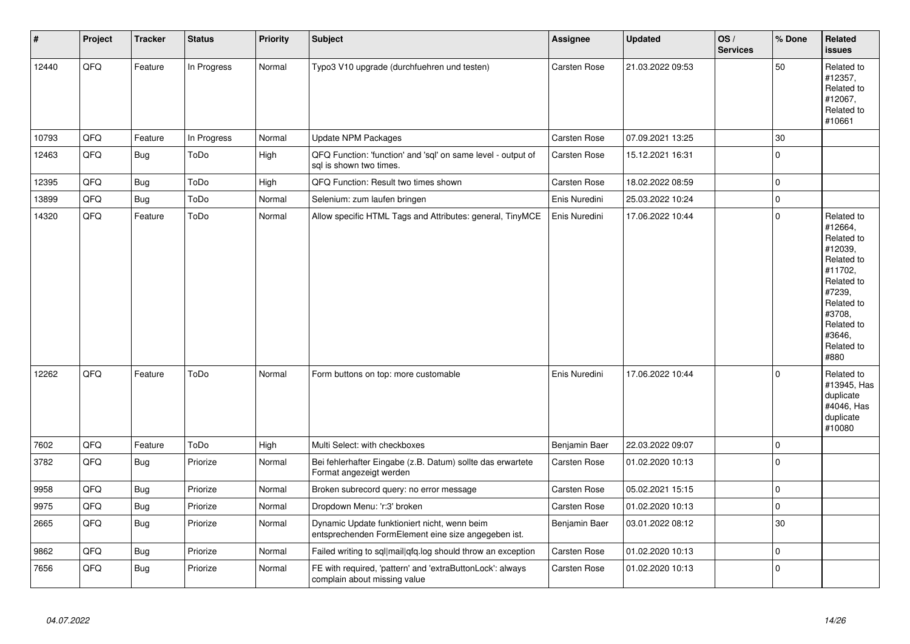| $\sharp$ | Project | <b>Tracker</b> | <b>Status</b> | <b>Priority</b> | <b>Subject</b>                                                                                      | <b>Assignee</b>     | <b>Updated</b>   | OS/<br><b>Services</b> | % Done      | Related<br><b>issues</b>                                                                                                                                              |
|----------|---------|----------------|---------------|-----------------|-----------------------------------------------------------------------------------------------------|---------------------|------------------|------------------------|-------------|-----------------------------------------------------------------------------------------------------------------------------------------------------------------------|
| 12440    | QFQ     | Feature        | In Progress   | Normal          | Typo3 V10 upgrade (durchfuehren und testen)                                                         | <b>Carsten Rose</b> | 21.03.2022 09:53 |                        | 50          | Related to<br>#12357,<br>Related to<br>#12067,<br>Related to<br>#10661                                                                                                |
| 10793    | QFQ     | Feature        | In Progress   | Normal          | Update NPM Packages                                                                                 | <b>Carsten Rose</b> | 07.09.2021 13:25 |                        | $30\,$      |                                                                                                                                                                       |
| 12463    | QFQ     | <b>Bug</b>     | ToDo          | High            | QFQ Function: 'function' and 'sql' on same level - output of<br>sql is shown two times.             | <b>Carsten Rose</b> | 15.12.2021 16:31 |                        | $\Omega$    |                                                                                                                                                                       |
| 12395    | QFQ     | Bug            | ToDo          | High            | QFQ Function: Result two times shown                                                                | <b>Carsten Rose</b> | 18.02.2022 08:59 |                        | $\pmb{0}$   |                                                                                                                                                                       |
| 13899    | QFQ     | Bug            | ToDo          | Normal          | Selenium: zum laufen bringen                                                                        | Enis Nuredini       | 25.03.2022 10:24 |                        | $\pmb{0}$   |                                                                                                                                                                       |
| 14320    | QFQ     | Feature        | ToDo          | Normal          | Allow specific HTML Tags and Attributes: general, TinyMCE                                           | Enis Nuredini       | 17.06.2022 10:44 |                        | $\Omega$    | Related to<br>#12664,<br>Related to<br>#12039,<br>Related to<br>#11702,<br>Related to<br>#7239,<br>Related to<br>#3708,<br>Related to<br>#3646,<br>Related to<br>#880 |
| 12262    | QFQ     | Feature        | ToDo          | Normal          | Form buttons on top: more customable                                                                | Enis Nuredini       | 17.06.2022 10:44 |                        | $\Omega$    | Related to<br>#13945, Has<br>duplicate<br>#4046, Has<br>duplicate<br>#10080                                                                                           |
| 7602     | QFQ     | Feature        | ToDo          | High            | Multi Select: with checkboxes                                                                       | Benjamin Baer       | 22.03.2022 09:07 |                        | $\mathbf 0$ |                                                                                                                                                                       |
| 3782     | QFQ     | <b>Bug</b>     | Priorize      | Normal          | Bei fehlerhafter Eingabe (z.B. Datum) sollte das erwartete<br>Format angezeigt werden               | <b>Carsten Rose</b> | 01.02.2020 10:13 |                        | $\mathbf 0$ |                                                                                                                                                                       |
| 9958     | QFQ     | Bug            | Priorize      | Normal          | Broken subrecord query: no error message                                                            | <b>Carsten Rose</b> | 05.02.2021 15:15 |                        | $\pmb{0}$   |                                                                                                                                                                       |
| 9975     | QFQ     | Bug            | Priorize      | Normal          | Dropdown Menu: 'r:3' broken                                                                         | Carsten Rose        | 01.02.2020 10:13 |                        | $\pmb{0}$   |                                                                                                                                                                       |
| 2665     | QFQ     | <b>Bug</b>     | Priorize      | Normal          | Dynamic Update funktioniert nicht, wenn beim<br>entsprechenden FormElement eine size angegeben ist. | Benjamin Baer       | 03.01.2022 08:12 |                        | 30          |                                                                                                                                                                       |
| 9862     | QFQ     | Bug            | Priorize      | Normal          | Failed writing to sql mail qfq.log should throw an exception                                        | Carsten Rose        | 01.02.2020 10:13 |                        | $\mathbf 0$ |                                                                                                                                                                       |
| 7656     | QFQ     | <b>Bug</b>     | Priorize      | Normal          | FE with required, 'pattern' and 'extraButtonLock': always<br>complain about missing value           | Carsten Rose        | 01.02.2020 10:13 |                        | $\mathbf 0$ |                                                                                                                                                                       |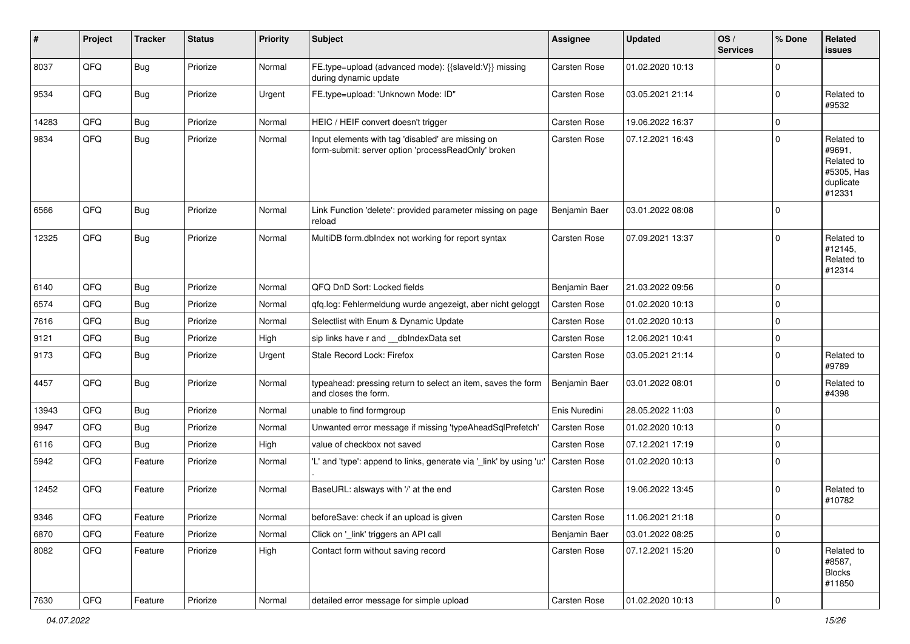| #     | Project        | <b>Tracker</b> | <b>Status</b> | <b>Priority</b> | <b>Subject</b>                                                                                           | <b>Assignee</b> | <b>Updated</b>   | OS/<br><b>Services</b> | % Done       | Related<br>issues                                                       |
|-------|----------------|----------------|---------------|-----------------|----------------------------------------------------------------------------------------------------------|-----------------|------------------|------------------------|--------------|-------------------------------------------------------------------------|
| 8037  | QFQ            | <b>Bug</b>     | Priorize      | Normal          | FE.type=upload (advanced mode): {{slaveId:V}} missing<br>during dynamic update                           | Carsten Rose    | 01.02.2020 10:13 |                        | $\Omega$     |                                                                         |
| 9534  | QFQ            | Bug            | Priorize      | Urgent          | FE.type=upload: 'Unknown Mode: ID"                                                                       | Carsten Rose    | 03.05.2021 21:14 |                        | $\mathbf 0$  | Related to<br>#9532                                                     |
| 14283 | QFQ            | <b>Bug</b>     | Priorize      | Normal          | HEIC / HEIF convert doesn't trigger                                                                      | Carsten Rose    | 19.06.2022 16:37 |                        | $\mathbf 0$  |                                                                         |
| 9834  | QFQ            | Bug            | Priorize      | Normal          | Input elements with tag 'disabled' are missing on<br>form-submit: server option 'processReadOnly' broken | Carsten Rose    | 07.12.2021 16:43 |                        | $\mathbf 0$  | Related to<br>#9691,<br>Related to<br>#5305, Has<br>duplicate<br>#12331 |
| 6566  | QFQ            | Bug            | Priorize      | Normal          | Link Function 'delete': provided parameter missing on page<br>reload                                     | Benjamin Baer   | 03.01.2022 08:08 |                        | $\mathbf 0$  |                                                                         |
| 12325 | QFQ            | <b>Bug</b>     | Priorize      | Normal          | MultiDB form.dblndex not working for report syntax                                                       | Carsten Rose    | 07.09.2021 13:37 |                        | $\Omega$     | Related to<br>#12145,<br>Related to<br>#12314                           |
| 6140  | QFQ            | <b>Bug</b>     | Priorize      | Normal          | QFQ DnD Sort: Locked fields                                                                              | Benjamin Baer   | 21.03.2022 09:56 |                        | $\mathbf 0$  |                                                                         |
| 6574  | QFQ            | Bug            | Priorize      | Normal          | gfg.log: Fehlermeldung wurde angezeigt, aber nicht geloggt                                               | Carsten Rose    | 01.02.2020 10:13 |                        | $\mathbf 0$  |                                                                         |
| 7616  | QFQ            | Bug            | Priorize      | Normal          | Selectlist with Enum & Dynamic Update                                                                    | Carsten Rose    | 01.02.2020 10:13 |                        | $\mathbf 0$  |                                                                         |
| 9121  | QFQ            | Bug            | Priorize      | High            | sip links have r and __dbIndexData set                                                                   | Carsten Rose    | 12.06.2021 10:41 |                        | $\mathbf 0$  |                                                                         |
| 9173  | QFQ            | Bug            | Priorize      | Urgent          | Stale Record Lock: Firefox                                                                               | Carsten Rose    | 03.05.2021 21:14 |                        | $\mathbf 0$  | Related to<br>#9789                                                     |
| 4457  | QFQ            | <b>Bug</b>     | Priorize      | Normal          | typeahead: pressing return to select an item, saves the form<br>and closes the form.                     | Benjamin Baer   | 03.01.2022 08:01 |                        | $\mathbf 0$  | Related to<br>#4398                                                     |
| 13943 | QFQ            | <b>Bug</b>     | Priorize      | Normal          | unable to find formgroup                                                                                 | Enis Nuredini   | 28.05.2022 11:03 |                        | $\mathbf 0$  |                                                                         |
| 9947  | QFQ            | Bug            | Priorize      | Normal          | Unwanted error message if missing 'typeAheadSqlPrefetch'                                                 | Carsten Rose    | 01.02.2020 10:13 |                        | $\mathbf 0$  |                                                                         |
| 6116  | QFQ            | Bug            | Priorize      | High            | value of checkbox not saved                                                                              | Carsten Rose    | 07.12.2021 17:19 |                        | $\mathbf 0$  |                                                                         |
| 5942  | QFQ            | Feature        | Priorize      | Normal          | 'L' and 'type': append to links, generate via '_link' by using 'u:'                                      | Carsten Rose    | 01.02.2020 10:13 |                        | $\Omega$     |                                                                         |
| 12452 | QFQ            | Feature        | Priorize      | Normal          | BaseURL: alsways with '/' at the end                                                                     | Carsten Rose    | 19.06.2022 13:45 |                        | $\mathbf 0$  | Related to<br>#10782                                                    |
| 9346  | QFG            | Feature        | Priorize      | Normal          | beforeSave: check if an upload is given                                                                  | Carsten Rose    | 11.06.2021 21:18 |                        | $\mathbf{0}$ |                                                                         |
| 6870  | QFQ            | Feature        | Priorize      | Normal          | Click on '_link' triggers an API call                                                                    | Benjamin Baer   | 03.01.2022 08:25 |                        | $\mathbf 0$  |                                                                         |
| 8082  | QFQ            | Feature        | Priorize      | High            | Contact form without saving record                                                                       | Carsten Rose    | 07.12.2021 15:20 |                        | $\mathbf 0$  | Related to<br>#8587,<br><b>Blocks</b><br>#11850                         |
| 7630  | $\mathsf{QFQ}$ | Feature        | Priorize      | Normal          | detailed error message for simple upload                                                                 | Carsten Rose    | 01.02.2020 10:13 |                        | $\mathbf 0$  |                                                                         |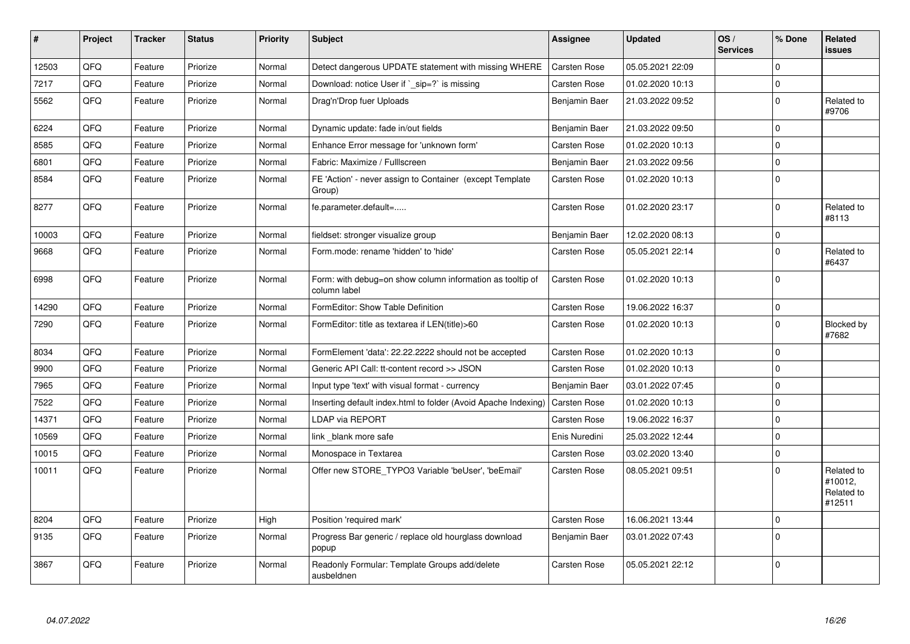| $\vert$ # | Project | <b>Tracker</b> | <b>Status</b> | <b>Priority</b> | <b>Subject</b>                                                            | Assignee            | <b>Updated</b>   | OS/<br><b>Services</b> | % Done       | Related<br><b>issues</b>                      |
|-----------|---------|----------------|---------------|-----------------|---------------------------------------------------------------------------|---------------------|------------------|------------------------|--------------|-----------------------------------------------|
| 12503     | QFQ     | Feature        | Priorize      | Normal          | Detect dangerous UPDATE statement with missing WHERE                      | Carsten Rose        | 05.05.2021 22:09 |                        | $\Omega$     |                                               |
| 7217      | QFQ     | Feature        | Priorize      | Normal          | Download: notice User if `_sip=?` is missing                              | Carsten Rose        | 01.02.2020 10:13 |                        | $\mathbf 0$  |                                               |
| 5562      | QFQ     | Feature        | Priorize      | Normal          | Drag'n'Drop fuer Uploads                                                  | Benjamin Baer       | 21.03.2022 09:52 |                        | $\Omega$     | Related to<br>#9706                           |
| 6224      | QFQ     | Feature        | Priorize      | Normal          | Dynamic update: fade in/out fields                                        | Benjamin Baer       | 21.03.2022 09:50 |                        | $\mathbf 0$  |                                               |
| 8585      | QFQ     | Feature        | Priorize      | Normal          | Enhance Error message for 'unknown form'                                  | Carsten Rose        | 01.02.2020 10:13 |                        | $\Omega$     |                                               |
| 6801      | QFQ     | Feature        | Priorize      | Normal          | Fabric: Maximize / FullIscreen                                            | Benjamin Baer       | 21.03.2022 09:56 |                        | $\Omega$     |                                               |
| 8584      | QFQ     | Feature        | Priorize      | Normal          | FE 'Action' - never assign to Container (except Template)<br>Group)       | Carsten Rose        | 01.02.2020 10:13 |                        | $\Omega$     |                                               |
| 8277      | QFQ     | Feature        | Priorize      | Normal          | fe.parameter.default=                                                     | Carsten Rose        | 01.02.2020 23:17 |                        | $\Omega$     | Related to<br>#8113                           |
| 10003     | QFQ     | Feature        | Priorize      | Normal          | fieldset: stronger visualize group                                        | Benjamin Baer       | 12.02.2020 08:13 |                        | $\mathbf 0$  |                                               |
| 9668      | QFQ     | Feature        | Priorize      | Normal          | Form.mode: rename 'hidden' to 'hide'                                      | Carsten Rose        | 05.05.2021 22:14 |                        | $\Omega$     | Related to<br>#6437                           |
| 6998      | QFQ     | Feature        | Priorize      | Normal          | Form: with debug=on show column information as tooltip of<br>column label | <b>Carsten Rose</b> | 01.02.2020 10:13 |                        | $\mathbf 0$  |                                               |
| 14290     | QFQ     | Feature        | Priorize      | Normal          | FormEditor: Show Table Definition                                         | Carsten Rose        | 19.06.2022 16:37 |                        | $\mathbf{0}$ |                                               |
| 7290      | QFQ     | Feature        | Priorize      | Normal          | FormEditor: title as textarea if LEN(title)>60                            | Carsten Rose        | 01.02.2020 10:13 |                        | $\mathbf 0$  | Blocked by<br>#7682                           |
| 8034      | QFQ     | Feature        | Priorize      | Normal          | FormElement 'data': 22.22.2222 should not be accepted                     | Carsten Rose        | 01.02.2020 10:13 |                        | $\mathbf 0$  |                                               |
| 9900      | QFQ     | Feature        | Priorize      | Normal          | Generic API Call: tt-content record >> JSON                               | Carsten Rose        | 01.02.2020 10:13 |                        | $\mathbf 0$  |                                               |
| 7965      | QFQ     | Feature        | Priorize      | Normal          | Input type 'text' with visual format - currency                           | Benjamin Baer       | 03.01.2022 07:45 |                        | $\Omega$     |                                               |
| 7522      | QFQ     | Feature        | Priorize      | Normal          | Inserting default index.html to folder (Avoid Apache Indexing)            | Carsten Rose        | 01.02.2020 10:13 |                        | $\Omega$     |                                               |
| 14371     | QFQ     | Feature        | Priorize      | Normal          | LDAP via REPORT                                                           | Carsten Rose        | 19.06.2022 16:37 |                        | $\Omega$     |                                               |
| 10569     | QFQ     | Feature        | Priorize      | Normal          | link blank more safe                                                      | Enis Nuredini       | 25.03.2022 12:44 |                        | $\Omega$     |                                               |
| 10015     | QFQ     | Feature        | Priorize      | Normal          | Monospace in Textarea                                                     | Carsten Rose        | 03.02.2020 13:40 |                        | $\Omega$     |                                               |
| 10011     | QFQ     | Feature        | Priorize      | Normal          | Offer new STORE_TYPO3 Variable 'beUser', 'beEmail'                        | Carsten Rose        | 08.05.2021 09:51 |                        | $\mathbf 0$  | Related to<br>#10012,<br>Related to<br>#12511 |
| 8204      | QFQ     | Feature        | Priorize      | High            | Position 'required mark'                                                  | Carsten Rose        | 16.06.2021 13:44 |                        | $\Omega$     |                                               |
| 9135      | QFQ     | Feature        | Priorize      | Normal          | Progress Bar generic / replace old hourglass download<br>popup            | Benjamin Baer       | 03.01.2022 07:43 |                        | $\Omega$     |                                               |
| 3867      | QFQ     | Feature        | Priorize      | Normal          | Readonly Formular: Template Groups add/delete<br>ausbeldnen               | Carsten Rose        | 05.05.2021 22:12 |                        | $\Omega$     |                                               |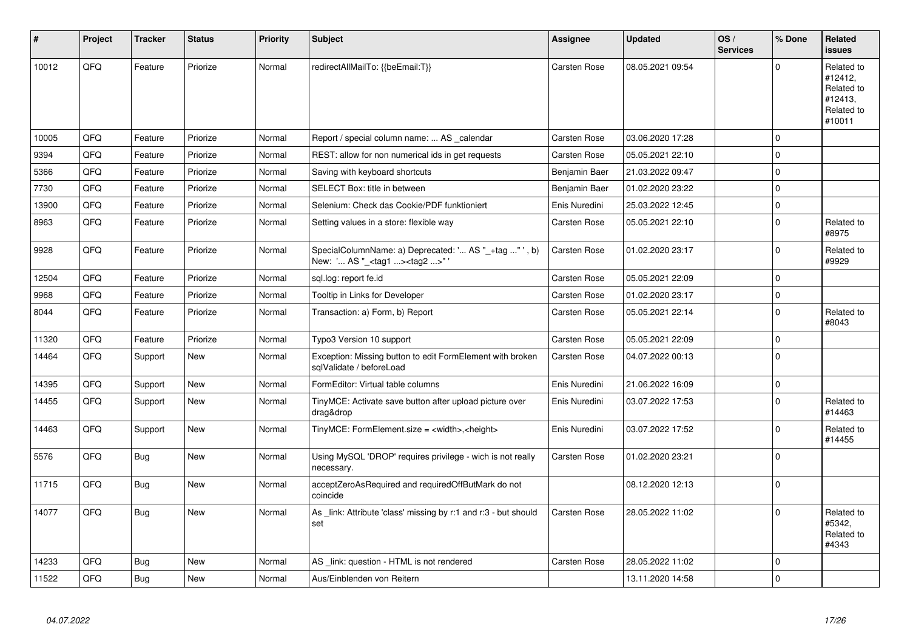| #     | Project | <b>Tracker</b> | <b>Status</b> | <b>Priority</b> | Subject                                                                                           | Assignee            | <b>Updated</b>   | OS/<br><b>Services</b> | % Done       | Related<br><b>issues</b>                                               |
|-------|---------|----------------|---------------|-----------------|---------------------------------------------------------------------------------------------------|---------------------|------------------|------------------------|--------------|------------------------------------------------------------------------|
| 10012 | QFQ     | Feature        | Priorize      | Normal          | redirectAllMailTo: {{beEmail:T}}                                                                  | Carsten Rose        | 08.05.2021 09:54 |                        | $\Omega$     | Related to<br>#12412,<br>Related to<br>#12413.<br>Related to<br>#10011 |
| 10005 | QFQ     | Feature        | Priorize      | Normal          | Report / special column name:  AS _calendar                                                       | Carsten Rose        | 03.06.2020 17:28 |                        | $\mathbf 0$  |                                                                        |
| 9394  | QFQ     | Feature        | Priorize      | Normal          | REST: allow for non numerical ids in get requests                                                 | <b>Carsten Rose</b> | 05.05.2021 22:10 |                        | $\mathbf{0}$ |                                                                        |
| 5366  | QFQ     | Feature        | Priorize      | Normal          | Saving with keyboard shortcuts                                                                    | Benjamin Baer       | 21.03.2022 09:47 |                        | $\pmb{0}$    |                                                                        |
| 7730  | QFQ     | Feature        | Priorize      | Normal          | SELECT Box: title in between                                                                      | Benjamin Baer       | 01.02.2020 23:22 |                        | $\mathbf 0$  |                                                                        |
| 13900 | QFQ     | Feature        | Priorize      | Normal          | Selenium: Check das Cookie/PDF funktioniert                                                       | Enis Nuredini       | 25.03.2022 12:45 |                        | $\mathbf 0$  |                                                                        |
| 8963  | QFQ     | Feature        | Priorize      | Normal          | Setting values in a store: flexible way                                                           | Carsten Rose        | 05.05.2021 22:10 |                        | $\mathbf{0}$ | Related to<br>#8975                                                    |
| 9928  | QFQ     | Feature        | Priorize      | Normal          | SpecialColumnName: a) Deprecated: ' AS "_+tag " ', b)<br>New: ' AS "_ <tag1><tag2>"</tag2></tag1> | <b>Carsten Rose</b> | 01.02.2020 23:17 |                        | $\pmb{0}$    | Related to<br>#9929                                                    |
| 12504 | QFQ     | Feature        | Priorize      | Normal          | sgl.log: report fe.id                                                                             | Carsten Rose        | 05.05.2021 22:09 |                        | $\mathbf 0$  |                                                                        |
| 9968  | QFQ     | Feature        | Priorize      | Normal          | Tooltip in Links for Developer                                                                    | Carsten Rose        | 01.02.2020 23:17 |                        | $\mathbf 0$  |                                                                        |
| 8044  | QFQ     | Feature        | Priorize      | Normal          | Transaction: a) Form, b) Report                                                                   | <b>Carsten Rose</b> | 05.05.2021 22:14 |                        | $\mathbf{0}$ | Related to<br>#8043                                                    |
| 11320 | QFQ     | Feature        | Priorize      | Normal          | Typo3 Version 10 support                                                                          | <b>Carsten Rose</b> | 05.05.2021 22:09 |                        | $\mathbf 0$  |                                                                        |
| 14464 | QFQ     | Support        | <b>New</b>    | Normal          | Exception: Missing button to edit FormElement with broken<br>sqlValidate / beforeLoad             | <b>Carsten Rose</b> | 04.07.2022 00:13 |                        | $\mathbf 0$  |                                                                        |
| 14395 | QFO     | Support        | <b>New</b>    | Normal          | FormEditor: Virtual table columns                                                                 | Enis Nuredini       | 21.06.2022 16:09 |                        | $\mathbf{0}$ |                                                                        |
| 14455 | QFQ     | Support        | <b>New</b>    | Normal          | TinyMCE: Activate save button after upload picture over<br>drag&drop                              | Enis Nuredini       | 03.07.2022 17:53 |                        | $\mathbf 0$  | Related to<br>#14463                                                   |
| 14463 | QFQ     | Support        | <b>New</b>    | Normal          | TinyMCE: FormElement.size = <width>,<height></height></width>                                     | Enis Nuredini       | 03.07.2022 17:52 |                        | $\mathbf 0$  | Related to<br>#14455                                                   |
| 5576  | QFQ     | Bug            | <b>New</b>    | Normal          | Using MySQL 'DROP' requires privilege - wich is not really<br>necessarv.                          | <b>Carsten Rose</b> | 01.02.2020 23:21 |                        | $\mathbf 0$  |                                                                        |
| 11715 | QFQ     | Bug            | <b>New</b>    | Normal          | acceptZeroAsRequired and requiredOffButMark do not<br>coincide                                    |                     | 08.12.2020 12:13 |                        | $\mathbf 0$  |                                                                        |
| 14077 | QFQ     | Bug            | <b>New</b>    | Normal          | As link: Attribute 'class' missing by r:1 and r:3 - but should<br>set                             | <b>Carsten Rose</b> | 28.05.2022 11:02 |                        | $\mathbf 0$  | Related to<br>#5342.<br>Related to<br>#4343                            |
| 14233 | QFQ     | Bug            | <b>New</b>    | Normal          | AS link: question - HTML is not rendered                                                          | <b>Carsten Rose</b> | 28.05.2022 11:02 |                        | $\mathbf{0}$ |                                                                        |
| 11522 | QFQ     | <b>Bug</b>     | <b>New</b>    | Normal          | Aus/Einblenden von Reitern                                                                        |                     | 13.11.2020 14:58 |                        | $\mathbf 0$  |                                                                        |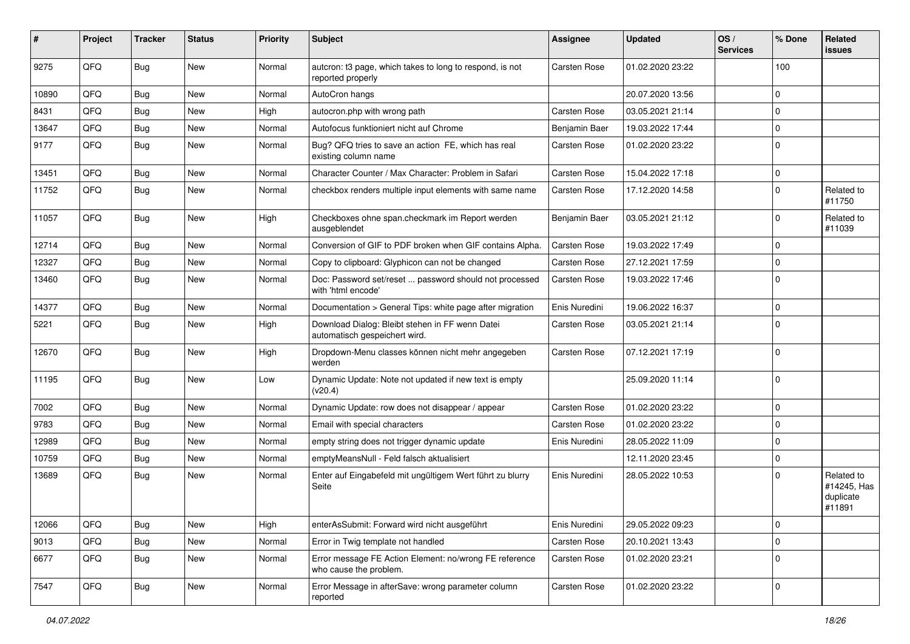| #     | Project | <b>Tracker</b> | <b>Status</b> | <b>Priority</b> | Subject                                                                          | <b>Assignee</b>     | <b>Updated</b>   | OS/<br><b>Services</b> | % Done         | Related<br><b>issues</b>                         |
|-------|---------|----------------|---------------|-----------------|----------------------------------------------------------------------------------|---------------------|------------------|------------------------|----------------|--------------------------------------------------|
| 9275  | QFQ     | Bug            | New           | Normal          | autcron: t3 page, which takes to long to respond, is not<br>reported properly    | <b>Carsten Rose</b> | 01.02.2020 23:22 |                        | 100            |                                                  |
| 10890 | QFQ     | <b>Bug</b>     | <b>New</b>    | Normal          | AutoCron hangs                                                                   |                     | 20.07.2020 13:56 |                        | $\mathbf 0$    |                                                  |
| 8431  | QFQ     | Bug            | New           | High            | autocron.php with wrong path                                                     | <b>Carsten Rose</b> | 03.05.2021 21:14 |                        | $\mathbf{0}$   |                                                  |
| 13647 | QFQ     | Bug            | New           | Normal          | Autofocus funktioniert nicht auf Chrome                                          | Benjamin Baer       | 19.03.2022 17:44 |                        | $\mathbf{0}$   |                                                  |
| 9177  | QFQ     | <b>Bug</b>     | New           | Normal          | Bug? QFQ tries to save an action FE, which has real<br>existing column name      | <b>Carsten Rose</b> | 01.02.2020 23:22 |                        | $\overline{0}$ |                                                  |
| 13451 | QFQ     | Bug            | New           | Normal          | Character Counter / Max Character: Problem in Safari                             | Carsten Rose        | 15.04.2022 17:18 |                        | $\mathbf{0}$   |                                                  |
| 11752 | QFQ     | <b>Bug</b>     | New           | Normal          | checkbox renders multiple input elements with same name                          | <b>Carsten Rose</b> | 17.12.2020 14:58 |                        | $\Omega$       | Related to<br>#11750                             |
| 11057 | QFQ     | <b>Bug</b>     | New           | High            | Checkboxes ohne span.checkmark im Report werden<br>ausgeblendet                  | Benjamin Baer       | 03.05.2021 21:12 |                        | $\Omega$       | Related to<br>#11039                             |
| 12714 | QFQ     | Bug            | New           | Normal          | Conversion of GIF to PDF broken when GIF contains Alpha.                         | <b>Carsten Rose</b> | 19.03.2022 17:49 |                        | $\Omega$       |                                                  |
| 12327 | QFQ     | <b>Bug</b>     | New           | Normal          | Copy to clipboard: Glyphicon can not be changed                                  | Carsten Rose        | 27.12.2021 17:59 |                        | $\mathbf{0}$   |                                                  |
| 13460 | QFQ     | <b>Bug</b>     | New           | Normal          | Doc: Password set/reset  password should not processed<br>with 'html encode'     | <b>Carsten Rose</b> | 19.03.2022 17:46 |                        | $\Omega$       |                                                  |
| 14377 | QFQ     | <b>Bug</b>     | New           | Normal          | Documentation > General Tips: white page after migration                         | Enis Nuredini       | 19.06.2022 16:37 |                        | $\mathbf{0}$   |                                                  |
| 5221  | QFQ     | Bug            | New           | High            | Download Dialog: Bleibt stehen in FF wenn Datei<br>automatisch gespeichert wird. | Carsten Rose        | 03.05.2021 21:14 |                        | $\overline{0}$ |                                                  |
| 12670 | QFQ     | <b>Bug</b>     | New           | High            | Dropdown-Menu classes können nicht mehr angegeben<br>werden                      | <b>Carsten Rose</b> | 07.12.2021 17:19 |                        | $\overline{0}$ |                                                  |
| 11195 | QFQ     | Bug            | New           | Low             | Dynamic Update: Note not updated if new text is empty<br>(v20.4)                 |                     | 25.09.2020 11:14 |                        | $\overline{0}$ |                                                  |
| 7002  | QFQ     | <b>Bug</b>     | <b>New</b>    | Normal          | Dynamic Update: row does not disappear / appear                                  | <b>Carsten Rose</b> | 01.02.2020 23:22 |                        | $\mathbf{0}$   |                                                  |
| 9783  | QFQ     | <b>Bug</b>     | New           | Normal          | Email with special characters                                                    | Carsten Rose        | 01.02.2020 23:22 |                        | $\Omega$       |                                                  |
| 12989 | QFQ     | Bug            | New           | Normal          | empty string does not trigger dynamic update                                     | Enis Nuredini       | 28.05.2022 11:09 |                        | $\mathbf 0$    |                                                  |
| 10759 | QFQ     | Bug            | New           | Normal          | emptyMeansNull - Feld falsch aktualisiert                                        |                     | 12.11.2020 23:45 |                        | $\Omega$       |                                                  |
| 13689 | QFQ     | <b>Bug</b>     | New           | Normal          | Enter auf Eingabefeld mit ungültigem Wert führt zu blurry<br>Seite               | Enis Nuredini       | 28.05.2022 10:53 |                        | $\Omega$       | Related to<br>#14245, Has<br>duplicate<br>#11891 |
| 12066 | QFQ     | Bug            | New           | High            | enterAsSubmit: Forward wird nicht ausgeführt                                     | Enis Nuredini       | 29.05.2022 09:23 |                        | $\overline{0}$ |                                                  |
| 9013  | QFQ     | <b>Bug</b>     | New           | Normal          | Error in Twig template not handled                                               | Carsten Rose        | 20.10.2021 13:43 |                        | $\mathbf 0$    |                                                  |
| 6677  | QFQ     | Bug            | New           | Normal          | Error message FE Action Element: no/wrong FE reference<br>who cause the problem. | Carsten Rose        | 01.02.2020 23:21 |                        | $\mathbf{0}$   |                                                  |
| 7547  | QFQ     | <b>Bug</b>     | New           | Normal          | Error Message in afterSave: wrong parameter column<br>reported                   | Carsten Rose        | 01.02.2020 23:22 |                        | $\overline{0}$ |                                                  |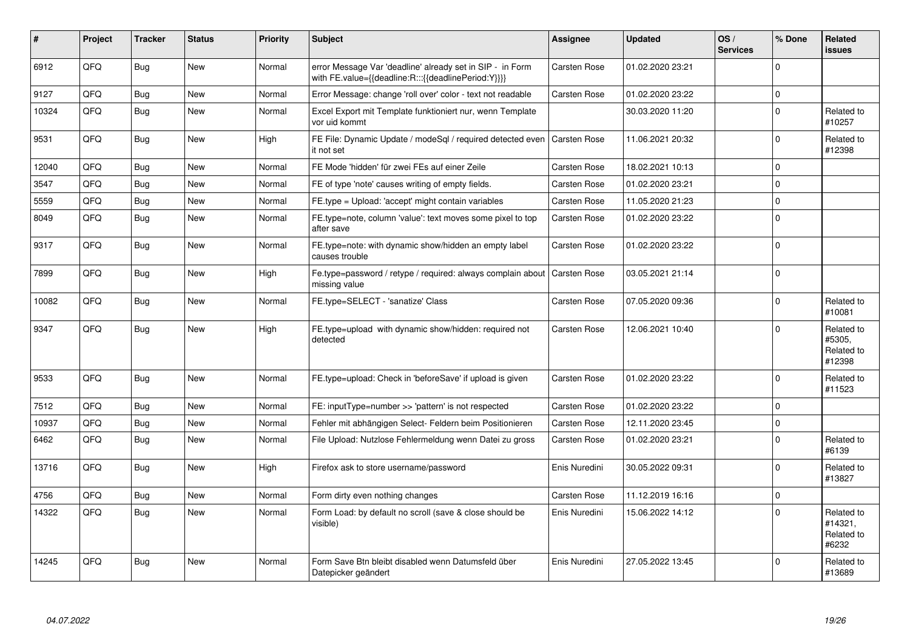| #     | Project | <b>Tracker</b> | <b>Status</b> | <b>Priority</b> | <b>Subject</b>                                                                                                   | Assignee            | <b>Updated</b>   | OS/<br><b>Services</b> | % Done      | <b>Related</b><br><b>issues</b>              |
|-------|---------|----------------|---------------|-----------------|------------------------------------------------------------------------------------------------------------------|---------------------|------------------|------------------------|-------------|----------------------------------------------|
| 6912  | QFQ     | Bug            | <b>New</b>    | Normal          | error Message Var 'deadline' already set in SIP - in Form<br>with FE.value={{deadline:R:::{{deadlinePeriod:Y}}}} | Carsten Rose        | 01.02.2020 23:21 |                        | $\Omega$    |                                              |
| 9127  | QFQ     | <b>Bug</b>     | <b>New</b>    | Normal          | Error Message: change 'roll over' color - text not readable                                                      | Carsten Rose        | 01.02.2020 23:22 |                        | $\mathbf 0$ |                                              |
| 10324 | QFQ     | <b>Bug</b>     | <b>New</b>    | Normal          | Excel Export mit Template funktioniert nur, wenn Template<br>vor uid kommt                                       |                     | 30.03.2020 11:20 |                        | $\Omega$    | Related to<br>#10257                         |
| 9531  | QFQ     | <b>Bug</b>     | <b>New</b>    | High            | FE File: Dynamic Update / modeSql / required detected even<br>it not set                                         | <b>Carsten Rose</b> | 11.06.2021 20:32 |                        | $\Omega$    | Related to<br>#12398                         |
| 12040 | QFQ     | Bug            | <b>New</b>    | Normal          | FE Mode 'hidden' für zwei FEs auf einer Zeile                                                                    | <b>Carsten Rose</b> | 18.02.2021 10:13 |                        | $\mathbf 0$ |                                              |
| 3547  | QFQ     | <b>Bug</b>     | <b>New</b>    | Normal          | FE of type 'note' causes writing of empty fields.                                                                | <b>Carsten Rose</b> | 01.02.2020 23:21 |                        | $\Omega$    |                                              |
| 5559  | QFQ     | <b>Bug</b>     | <b>New</b>    | Normal          | FE.type = Upload: 'accept' might contain variables                                                               | <b>Carsten Rose</b> | 11.05.2020 21:23 |                        | $\Omega$    |                                              |
| 8049  | QFQ     | <b>Bug</b>     | New           | Normal          | FE.type=note, column 'value': text moves some pixel to top<br>after save                                         | Carsten Rose        | 01.02.2020 23:22 |                        | $\Omega$    |                                              |
| 9317  | QFQ     | <b>Bug</b>     | New           | Normal          | FE.type=note: with dynamic show/hidden an empty label<br>causes trouble                                          | Carsten Rose        | 01.02.2020 23:22 |                        | $\Omega$    |                                              |
| 7899  | QFQ     | <b>Bug</b>     | <b>New</b>    | High            | Fe.type=password / retype / required: always complain about  <br>missing value                                   | <b>Carsten Rose</b> | 03.05.2021 21:14 |                        | $\Omega$    |                                              |
| 10082 | QFQ     | <b>Bug</b>     | New           | Normal          | FE.type=SELECT - 'sanatize' Class                                                                                | Carsten Rose        | 07.05.2020 09:36 |                        | $\Omega$    | Related to<br>#10081                         |
| 9347  | QFQ     | <b>Bug</b>     | <b>New</b>    | High            | FE.type=upload with dynamic show/hidden: required not<br>detected                                                | <b>Carsten Rose</b> | 12.06.2021 10:40 |                        | $\Omega$    | Related to<br>#5305.<br>Related to<br>#12398 |
| 9533  | QFQ     | <b>Bug</b>     | <b>New</b>    | Normal          | FE.type=upload: Check in 'beforeSave' if upload is given                                                         | Carsten Rose        | 01.02.2020 23:22 |                        | $\Omega$    | Related to<br>#11523                         |
| 7512  | QFQ     | <b>Bug</b>     | <b>New</b>    | Normal          | FE: inputType=number >> 'pattern' is not respected                                                               | <b>Carsten Rose</b> | 01.02.2020 23:22 |                        | $\Omega$    |                                              |
| 10937 | QFQ     | Bug            | New           | Normal          | Fehler mit abhängigen Select- Feldern beim Positionieren                                                         | Carsten Rose        | 12.11.2020 23:45 |                        | $\Omega$    |                                              |
| 6462  | QFQ     | <b>Bug</b>     | New           | Normal          | File Upload: Nutzlose Fehlermeldung wenn Datei zu gross                                                          | Carsten Rose        | 01.02.2020 23:21 |                        | $\Omega$    | Related to<br>#6139                          |
| 13716 | QFQ     | Bug            | New           | High            | Firefox ask to store username/password                                                                           | Enis Nuredini       | 30.05.2022 09:31 |                        | $\Omega$    | Related to<br>#13827                         |
| 4756  | QFQ     | <b>Bug</b>     | New           | Normal          | Form dirty even nothing changes                                                                                  | Carsten Rose        | 11.12.2019 16:16 |                        | $\mathbf 0$ |                                              |
| 14322 | QFQ     | <b>Bug</b>     | <b>New</b>    | Normal          | Form Load: by default no scroll (save & close should be<br>visible)                                              | Enis Nuredini       | 15.06.2022 14:12 |                        | $\Omega$    | Related to<br>#14321,<br>Related to<br>#6232 |
| 14245 | QFQ     | <b>Bug</b>     | <b>New</b>    | Normal          | Form Save Btn bleibt disabled wenn Datumsfeld über<br>Datepicker geändert                                        | Enis Nuredini       | 27.05.2022 13:45 |                        | $\Omega$    | Related to<br>#13689                         |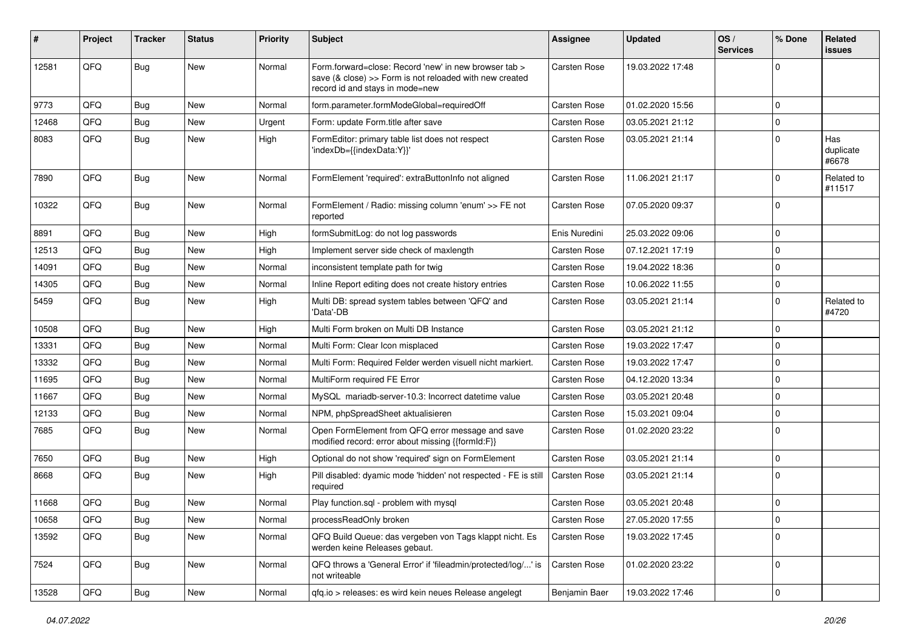| #     | Project | <b>Tracker</b> | <b>Status</b> | Priority | <b>Subject</b>                                                                                                                                      | <b>Assignee</b>     | <b>Updated</b>   | OS/<br><b>Services</b> | % Done      | Related<br><b>issues</b>  |
|-------|---------|----------------|---------------|----------|-----------------------------------------------------------------------------------------------------------------------------------------------------|---------------------|------------------|------------------------|-------------|---------------------------|
| 12581 | QFQ     | Bug            | New           | Normal   | Form.forward=close: Record 'new' in new browser tab ><br>save (& close) >> Form is not reloaded with new created<br>record id and stays in mode=new | <b>Carsten Rose</b> | 19.03.2022 17:48 |                        | $\mathbf 0$ |                           |
| 9773  | QFQ     | Bug            | New           | Normal   | form.parameter.formModeGlobal=requiredOff                                                                                                           | <b>Carsten Rose</b> | 01.02.2020 15:56 |                        | $\mathbf 0$ |                           |
| 12468 | QFQ     | <b>Bug</b>     | New           | Urgent   | Form: update Form.title after save                                                                                                                  | <b>Carsten Rose</b> | 03.05.2021 21:12 |                        | $\Omega$    |                           |
| 8083  | QFQ     | Bug            | New           | High     | FormEditor: primary table list does not respect<br>'indexDb={{indexData:Y}}'                                                                        | <b>Carsten Rose</b> | 03.05.2021 21:14 |                        | $\Omega$    | Has<br>duplicate<br>#6678 |
| 7890  | QFQ     | Bug            | <b>New</b>    | Normal   | FormElement 'required': extraButtonInfo not aligned                                                                                                 | <b>Carsten Rose</b> | 11.06.2021 21:17 |                        | $\Omega$    | Related to<br>#11517      |
| 10322 | QFQ     | Bug            | <b>New</b>    | Normal   | FormElement / Radio: missing column 'enum' >> FE not<br>reported                                                                                    | <b>Carsten Rose</b> | 07.05.2020 09:37 |                        | $\Omega$    |                           |
| 8891  | QFQ     | Bug            | New           | High     | formSubmitLog: do not log passwords                                                                                                                 | Enis Nuredini       | 25.03.2022 09:06 |                        | $\mathbf 0$ |                           |
| 12513 | QFQ     | <b>Bug</b>     | New           | High     | Implement server side check of maxlength                                                                                                            | <b>Carsten Rose</b> | 07.12.2021 17:19 |                        | $\mathbf 0$ |                           |
| 14091 | QFQ     | <b>Bug</b>     | <b>New</b>    | Normal   | inconsistent template path for twig                                                                                                                 | <b>Carsten Rose</b> | 19.04.2022 18:36 |                        | $\mathbf 0$ |                           |
| 14305 | QFQ     | <b>Bug</b>     | New           | Normal   | Inline Report editing does not create history entries                                                                                               | <b>Carsten Rose</b> | 10.06.2022 11:55 |                        | $\Omega$    |                           |
| 5459  | QFQ     | Bug            | New           | High     | Multi DB: spread system tables between 'QFQ' and<br>'Data'-DB                                                                                       | Carsten Rose        | 03.05.2021 21:14 |                        | $\Omega$    | Related to<br>#4720       |
| 10508 | QFQ     | <b>Bug</b>     | <b>New</b>    | High     | Multi Form broken on Multi DB Instance                                                                                                              | <b>Carsten Rose</b> | 03.05.2021 21:12 |                        | $\mathbf 0$ |                           |
| 13331 | QFQ     | <b>Bug</b>     | New           | Normal   | Multi Form: Clear Icon misplaced                                                                                                                    | <b>Carsten Rose</b> | 19.03.2022 17:47 |                        | $\mathbf 0$ |                           |
| 13332 | QFQ     | <b>Bug</b>     | New           | Normal   | Multi Form: Required Felder werden visuell nicht markiert.                                                                                          | Carsten Rose        | 19.03.2022 17:47 |                        | $\mathbf 0$ |                           |
| 11695 | QFQ     | <b>Bug</b>     | New           | Normal   | MultiForm required FE Error                                                                                                                         | <b>Carsten Rose</b> | 04.12.2020 13:34 |                        | $\mathbf 0$ |                           |
| 11667 | QFQ     | <b>Bug</b>     | <b>New</b>    | Normal   | MySQL mariadb-server-10.3: Incorrect datetime value                                                                                                 | <b>Carsten Rose</b> | 03.05.2021 20:48 |                        | $\Omega$    |                           |
| 12133 | QFQ     | <b>Bug</b>     | New           | Normal   | NPM, phpSpreadSheet aktualisieren                                                                                                                   | <b>Carsten Rose</b> | 15.03.2021 09:04 |                        | $\Omega$    |                           |
| 7685  | QFQ     | Bug            | New           | Normal   | Open FormElement from QFQ error message and save<br>modified record: error about missing {{formId:F}}                                               | <b>Carsten Rose</b> | 01.02.2020 23:22 |                        | $\Omega$    |                           |
| 7650  | QFQ     | <b>Bug</b>     | <b>New</b>    | High     | Optional do not show 'required' sign on FormElement                                                                                                 | <b>Carsten Rose</b> | 03.05.2021 21:14 |                        | $\mathbf 0$ |                           |
| 8668  | QFQ     | <b>Bug</b>     | New           | High     | Pill disabled: dyamic mode 'hidden' not respected - FE is still<br>required                                                                         | <b>Carsten Rose</b> | 03.05.2021 21:14 |                        | $\mathbf 0$ |                           |
| 11668 | QFQ     | <b>Bug</b>     | New           | Normal   | Play function.sql - problem with mysql                                                                                                              | <b>Carsten Rose</b> | 03.05.2021 20:48 |                        | $\mathbf 0$ |                           |
| 10658 | QFQ     | <b>Bug</b>     | New           | Normal   | processReadOnly broken                                                                                                                              | <b>Carsten Rose</b> | 27.05.2020 17:55 |                        | $\mathbf 0$ |                           |
| 13592 | QFQ     | <b>Bug</b>     | New           | Normal   | QFQ Build Queue: das vergeben von Tags klappt nicht. Es<br>werden keine Releases gebaut.                                                            | Carsten Rose        | 19.03.2022 17:45 |                        | $\mathbf 0$ |                           |
| 7524  | QFQ     | Bug            | New           | Normal   | QFQ throws a 'General Error' if 'fileadmin/protected/log/' is<br>not writeable                                                                      | Carsten Rose        | 01.02.2020 23:22 |                        | $\mathbf 0$ |                           |
| 13528 | QFQ     | Bug            | New           | Normal   | qfq.io > releases: es wird kein neues Release angelegt                                                                                              | Benjamin Baer       | 19.03.2022 17:46 |                        | $\pmb{0}$   |                           |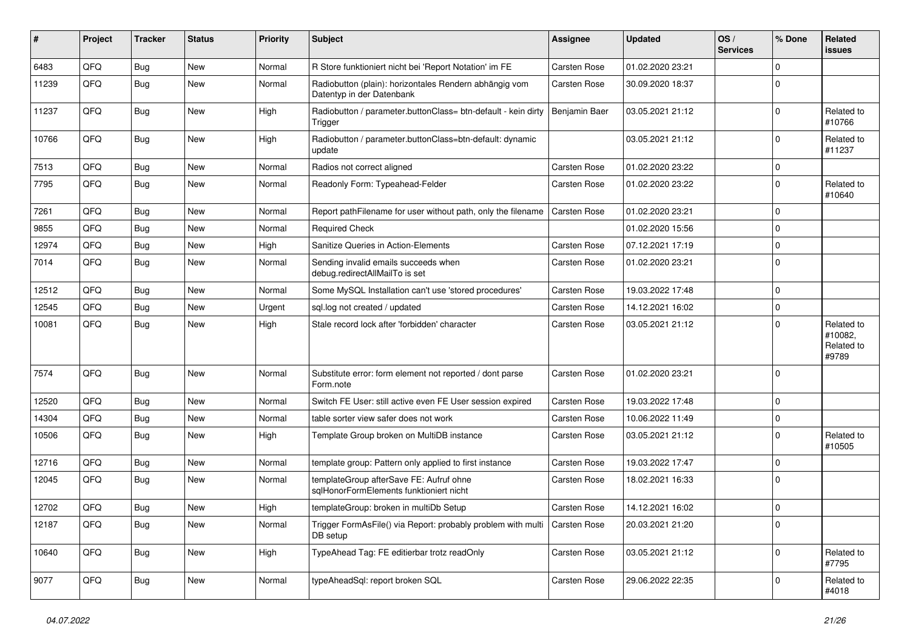| #     | Project | <b>Tracker</b> | <b>Status</b> | <b>Priority</b> | <b>Subject</b>                                                                      | <b>Assignee</b>     | <b>Updated</b>   | OS/<br><b>Services</b> | % Done      | Related<br><b>issues</b>                     |
|-------|---------|----------------|---------------|-----------------|-------------------------------------------------------------------------------------|---------------------|------------------|------------------------|-------------|----------------------------------------------|
| 6483  | QFQ     | <b>Bug</b>     | New           | Normal          | R Store funktioniert nicht bei 'Report Notation' im FE                              | <b>Carsten Rose</b> | 01.02.2020 23:21 |                        | $\Omega$    |                                              |
| 11239 | QFQ     | <b>Bug</b>     | New           | Normal          | Radiobutton (plain): horizontales Rendern abhängig vom<br>Datentyp in der Datenbank | <b>Carsten Rose</b> | 30.09.2020 18:37 |                        | $\Omega$    |                                              |
| 11237 | QFQ     | <b>Bug</b>     | New           | High            | Radiobutton / parameter.buttonClass= btn-default - kein dirty<br>Trigger            | Benjamin Baer       | 03.05.2021 21:12 |                        | $\Omega$    | Related to<br>#10766                         |
| 10766 | QFQ     | <b>Bug</b>     | New           | High            | Radiobutton / parameter.buttonClass=btn-default: dynamic<br>update                  |                     | 03.05.2021 21:12 |                        | $\Omega$    | Related to<br>#11237                         |
| 7513  | QFQ     | <b>Bug</b>     | New           | Normal          | Radios not correct aligned                                                          | Carsten Rose        | 01.02.2020 23:22 |                        | $\Omega$    |                                              |
| 7795  | QFQ     | <b>Bug</b>     | New           | Normal          | Readonly Form: Typeahead-Felder                                                     | <b>Carsten Rose</b> | 01.02.2020 23:22 |                        | $\Omega$    | Related to<br>#10640                         |
| 7261  | QFQ     | <b>Bug</b>     | <b>New</b>    | Normal          | Report pathFilename for user without path, only the filename                        | <b>Carsten Rose</b> | 01.02.2020 23:21 |                        | $\Omega$    |                                              |
| 9855  | QFQ     | <b>Bug</b>     | New           | Normal          | <b>Required Check</b>                                                               |                     | 01.02.2020 15:56 |                        | $\Omega$    |                                              |
| 12974 | QFQ     | <b>Bug</b>     | New           | High            | Sanitize Queries in Action-Elements                                                 | <b>Carsten Rose</b> | 07.12.2021 17:19 |                        | $\Omega$    |                                              |
| 7014  | QFQ     | Bug            | New           | Normal          | Sending invalid emails succeeds when<br>debug.redirectAllMailTo is set              | Carsten Rose        | 01.02.2020 23:21 |                        | $\Omega$    |                                              |
| 12512 | QFQ     | <b>Bug</b>     | New           | Normal          | Some MySQL Installation can't use 'stored procedures'                               | <b>Carsten Rose</b> | 19.03.2022 17:48 |                        | $\Omega$    |                                              |
| 12545 | QFQ     | <b>Bug</b>     | <b>New</b>    | Urgent          | sql.log not created / updated                                                       | <b>Carsten Rose</b> | 14.12.2021 16:02 |                        | $\Omega$    |                                              |
| 10081 | QFQ     | <b>Bug</b>     | New           | High            | Stale record lock after 'forbidden' character                                       | <b>Carsten Rose</b> | 03.05.2021 21:12 |                        | $\Omega$    | Related to<br>#10082,<br>Related to<br>#9789 |
| 7574  | QFQ     | Bug            | New           | Normal          | Substitute error: form element not reported / dont parse<br>Form.note               | <b>Carsten Rose</b> | 01.02.2020 23:21 |                        | $\Omega$    |                                              |
| 12520 | QFQ     | <b>Bug</b>     | <b>New</b>    | Normal          | Switch FE User: still active even FE User session expired                           | <b>Carsten Rose</b> | 19.03.2022 17:48 |                        | $\Omega$    |                                              |
| 14304 | QFQ     | <b>Bug</b>     | New           | Normal          | table sorter view safer does not work                                               | Carsten Rose        | 10.06.2022 11:49 |                        | $\mathbf 0$ |                                              |
| 10506 | QFQ     | <b>Bug</b>     | New           | High            | Template Group broken on MultiDB instance                                           | <b>Carsten Rose</b> | 03.05.2021 21:12 |                        | $\Omega$    | Related to<br>#10505                         |
| 12716 | QFQ     | <b>Bug</b>     | <b>New</b>    | Normal          | template group: Pattern only applied to first instance                              | <b>Carsten Rose</b> | 19.03.2022 17:47 |                        | $\Omega$    |                                              |
| 12045 | QFQ     | Bug            | New           | Normal          | templateGroup afterSave FE: Aufruf ohne<br>sqlHonorFormElements funktioniert nicht  | Carsten Rose        | 18.02.2021 16:33 |                        | $\Omega$    |                                              |
| 12702 | QFQ     | Bug            | New           | High            | templateGroup: broken in multiDb Setup                                              | <b>Carsten Rose</b> | 14.12.2021 16:02 |                        | $\mathbf 0$ |                                              |
| 12187 | QFQ     | <b>Bug</b>     | New           | Normal          | Trigger FormAsFile() via Report: probably problem with multi<br>DB setup            | <b>Carsten Rose</b> | 20.03.2021 21:20 |                        | $\mathbf 0$ |                                              |
| 10640 | QFQ     | <b>Bug</b>     | New           | High            | TypeAhead Tag: FE editierbar trotz readOnly                                         | Carsten Rose        | 03.05.2021 21:12 |                        | $\mathbf 0$ | Related to<br>#7795                          |
| 9077  | QFQ     | Bug            | New           | Normal          | typeAheadSql: report broken SQL                                                     | Carsten Rose        | 29.06.2022 22:35 |                        | $\mathbf 0$ | Related to<br>#4018                          |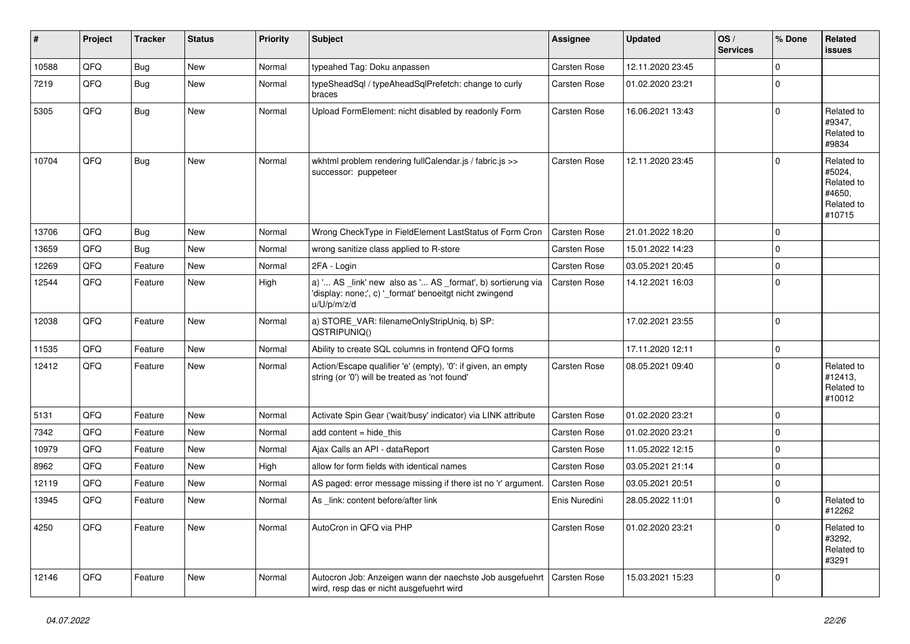| #     | Project | <b>Tracker</b> | <b>Status</b> | <b>Priority</b> | <b>Subject</b>                                                                                                                        | Assignee            | <b>Updated</b>   | OS/<br><b>Services</b> | % Done       | <b>Related</b><br><b>issues</b>                                      |
|-------|---------|----------------|---------------|-----------------|---------------------------------------------------------------------------------------------------------------------------------------|---------------------|------------------|------------------------|--------------|----------------------------------------------------------------------|
| 10588 | QFQ     | <b>Bug</b>     | New           | Normal          | typeahed Tag: Doku anpassen                                                                                                           | Carsten Rose        | 12.11.2020 23:45 |                        | $\Omega$     |                                                                      |
| 7219  | QFQ     | <b>Bug</b>     | <b>New</b>    | Normal          | typeSheadSql / typeAheadSqlPrefetch: change to curly<br>braces                                                                        | Carsten Rose        | 01.02.2020 23:21 |                        | $\Omega$     |                                                                      |
| 5305  | QFQ     | Bug            | New           | Normal          | Upload FormElement: nicht disabled by readonly Form                                                                                   | <b>Carsten Rose</b> | 16.06.2021 13:43 |                        | $\Omega$     | Related to<br>#9347,<br>Related to<br>#9834                          |
| 10704 | QFQ     | <b>Bug</b>     | New           | Normal          | wkhtml problem rendering fullCalendar.js / fabric.js >><br>successor: puppeteer                                                       | Carsten Rose        | 12.11.2020 23:45 |                        | $\Omega$     | Related to<br>#5024,<br>Related to<br>#4650.<br>Related to<br>#10715 |
| 13706 | QFQ     | Bug            | New           | Normal          | Wrong CheckType in FieldElement LastStatus of Form Cron                                                                               | <b>Carsten Rose</b> | 21.01.2022 18:20 |                        | $\mathbf 0$  |                                                                      |
| 13659 | QFQ     | <b>Bug</b>     | <b>New</b>    | Normal          | wrong sanitize class applied to R-store                                                                                               | Carsten Rose        | 15.01.2022 14:23 |                        | $\Omega$     |                                                                      |
| 12269 | QFQ     | Feature        | <b>New</b>    | Normal          | 2FA - Login                                                                                                                           | Carsten Rose        | 03.05.2021 20:45 |                        | $\Omega$     |                                                                      |
| 12544 | QFQ     | Feature        | New           | High            | a) ' AS _link' new also as ' AS _format', b) sortierung via<br>'display: none;', c) '_format' benoeitgt nicht zwingend<br>u/U/p/m/z/d | <b>Carsten Rose</b> | 14.12.2021 16:03 |                        | $\Omega$     |                                                                      |
| 12038 | QFQ     | Feature        | New           | Normal          | a) STORE_VAR: filenameOnlyStripUniq, b) SP:<br>QSTRIPUNIQ()                                                                           |                     | 17.02.2021 23:55 |                        | $\Omega$     |                                                                      |
| 11535 | QFQ     | Feature        | <b>New</b>    | Normal          | Ability to create SQL columns in frontend QFQ forms                                                                                   |                     | 17.11.2020 12:11 |                        | $\mathbf 0$  |                                                                      |
| 12412 | QFQ     | Feature        | New           | Normal          | Action/Escape qualifier 'e' (empty), '0': if given, an empty<br>string (or '0') will be treated as 'not found'                        | <b>Carsten Rose</b> | 08.05.2021 09:40 |                        | $\Omega$     | Related to<br>#12413,<br>Related to<br>#10012                        |
| 5131  | QFQ     | Feature        | <b>New</b>    | Normal          | Activate Spin Gear ('wait/busy' indicator) via LINK attribute                                                                         | <b>Carsten Rose</b> | 01.02.2020 23:21 |                        | $\Omega$     |                                                                      |
| 7342  | QFQ     | Feature        | New           | Normal          | add content = hide this                                                                                                               | <b>Carsten Rose</b> | 01.02.2020 23:21 |                        | $\mathbf 0$  |                                                                      |
| 10979 | QFQ     | Feature        | New           | Normal          | Ajax Calls an API - dataReport                                                                                                        | <b>Carsten Rose</b> | 11.05.2022 12:15 |                        | $\mathbf 0$  |                                                                      |
| 8962  | QFQ     | Feature        | New           | High            | allow for form fields with identical names                                                                                            | Carsten Rose        | 03.05.2021 21:14 |                        | $\mathbf{0}$ |                                                                      |
| 12119 | QFQ     | Feature        | New           | Normal          | AS paged: error message missing if there ist no 'r' argument.                                                                         | Carsten Rose        | 03.05.2021 20:51 |                        | $\pmb{0}$    |                                                                      |
| 13945 | QFQ     | Feature        | New           | Normal          | As _link: content before/after link                                                                                                   | Enis Nuredini       | 28.05.2022 11:01 |                        | $\Omega$     | Related to<br>#12262                                                 |
| 4250  | QFQ     | Feature        | <b>New</b>    | Normal          | AutoCron in QFQ via PHP                                                                                                               | <b>Carsten Rose</b> | 01.02.2020 23:21 |                        | $\Omega$     | Related to<br>#3292,<br>Related to<br>#3291                          |
| 12146 | QFQ     | Feature        | <b>New</b>    | Normal          | Autocron Job: Anzeigen wann der naechste Job ausgefuehrt<br>wird, resp das er nicht ausgefuehrt wird                                  | <b>Carsten Rose</b> | 15.03.2021 15:23 |                        | $\Omega$     |                                                                      |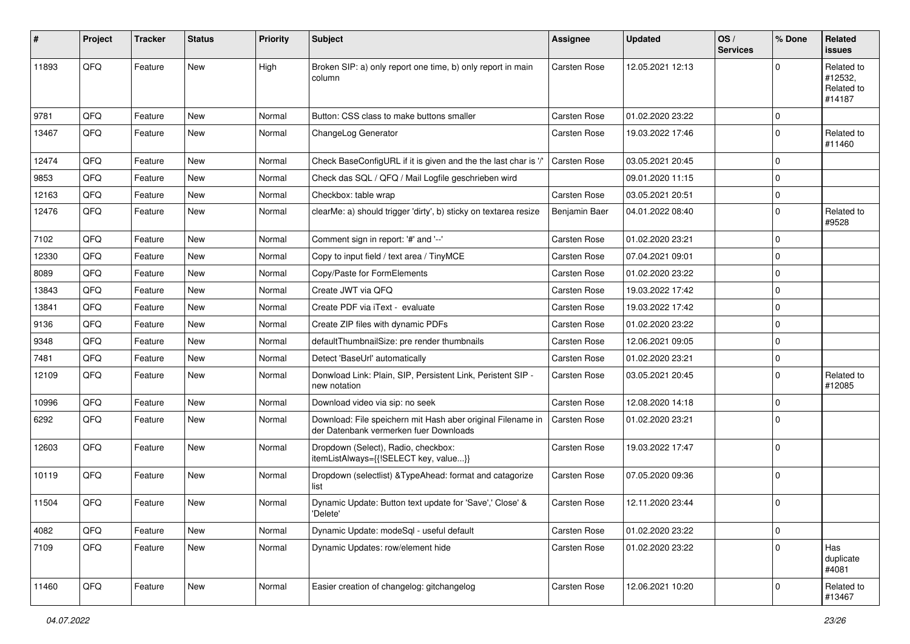| ∦     | Project | <b>Tracker</b> | <b>Status</b> | <b>Priority</b> | <b>Subject</b>                                                                                        | Assignee            | <b>Updated</b>   | OS/<br><b>Services</b> | % Done       | <b>Related</b><br><b>issues</b>               |
|-------|---------|----------------|---------------|-----------------|-------------------------------------------------------------------------------------------------------|---------------------|------------------|------------------------|--------------|-----------------------------------------------|
| 11893 | QFQ     | Feature        | <b>New</b>    | High            | Broken SIP: a) only report one time, b) only report in main<br>column                                 | <b>Carsten Rose</b> | 12.05.2021 12:13 |                        | $\Omega$     | Related to<br>#12532,<br>Related to<br>#14187 |
| 9781  | QFQ     | Feature        | <b>New</b>    | Normal          | Button: CSS class to make buttons smaller                                                             | Carsten Rose        | 01.02.2020 23:22 |                        | $\mathbf 0$  |                                               |
| 13467 | QFQ     | Feature        | <b>New</b>    | Normal          | ChangeLog Generator                                                                                   | Carsten Rose        | 19.03.2022 17:46 |                        | $\mathbf{0}$ | Related to<br>#11460                          |
| 12474 | QFQ     | Feature        | New           | Normal          | Check BaseConfigURL if it is given and the the last char is '/                                        | Carsten Rose        | 03.05.2021 20:45 |                        | $\mathbf 0$  |                                               |
| 9853  | QFQ     | Feature        | New           | Normal          | Check das SQL / QFQ / Mail Logfile geschrieben wird                                                   |                     | 09.01.2020 11:15 |                        | $\mathbf 0$  |                                               |
| 12163 | QFQ     | Feature        | New           | Normal          | Checkbox: table wrap                                                                                  | Carsten Rose        | 03.05.2021 20:51 |                        | $\mathbf 0$  |                                               |
| 12476 | QFQ     | Feature        | New           | Normal          | clearMe: a) should trigger 'dirty', b) sticky on textarea resize                                      | Benjamin Baer       | 04.01.2022 08:40 |                        | $\mathbf 0$  | Related to<br>#9528                           |
| 7102  | QFQ     | Feature        | <b>New</b>    | Normal          | Comment sign in report: '#' and '--'                                                                  | Carsten Rose        | 01.02.2020 23:21 |                        | $\mathbf 0$  |                                               |
| 12330 | QFQ     | Feature        | <b>New</b>    | Normal          | Copy to input field / text area / TinyMCE                                                             | Carsten Rose        | 07.04.2021 09:01 |                        | $\mathbf{0}$ |                                               |
| 8089  | QFQ     | Feature        | <b>New</b>    | Normal          | Copy/Paste for FormElements                                                                           | Carsten Rose        | 01.02.2020 23:22 |                        | $\mathbf 0$  |                                               |
| 13843 | QFQ     | Feature        | New           | Normal          | Create JWT via QFQ                                                                                    | Carsten Rose        | 19.03.2022 17:42 |                        | $\mathbf 0$  |                                               |
| 13841 | QFQ     | Feature        | <b>New</b>    | Normal          | Create PDF via iText - evaluate                                                                       | Carsten Rose        | 19.03.2022 17:42 |                        | $\mathbf 0$  |                                               |
| 9136  | QFQ     | Feature        | New           | Normal          | Create ZIP files with dynamic PDFs                                                                    | Carsten Rose        | 01.02.2020 23:22 |                        | $\pmb{0}$    |                                               |
| 9348  | QFQ     | Feature        | <b>New</b>    | Normal          | defaultThumbnailSize: pre render thumbnails                                                           | <b>Carsten Rose</b> | 12.06.2021 09:05 |                        | $\mathbf 0$  |                                               |
| 7481  | QFQ     | Feature        | New           | Normal          | Detect 'BaseUrl' automatically                                                                        | Carsten Rose        | 01.02.2020 23:21 |                        | $\mathbf 0$  |                                               |
| 12109 | QFQ     | Feature        | <b>New</b>    | Normal          | Donwload Link: Plain, SIP, Persistent Link, Peristent SIP -<br>new notation                           | Carsten Rose        | 03.05.2021 20:45 |                        | $\mathbf 0$  | Related to<br>#12085                          |
| 10996 | QFQ     | Feature        | <b>New</b>    | Normal          | Download video via sip: no seek                                                                       | <b>Carsten Rose</b> | 12.08.2020 14:18 |                        | $\mathbf 0$  |                                               |
| 6292  | QFQ     | Feature        | New           | Normal          | Download: File speichern mit Hash aber original Filename in<br>der Datenbank vermerken fuer Downloads | Carsten Rose        | 01.02.2020 23:21 |                        | $\mathbf 0$  |                                               |
| 12603 | QFQ     | Feature        | <b>New</b>    | Normal          | Dropdown (Select), Radio, checkbox:<br>itemListAlways={{!SELECT key, value}}                          | Carsten Rose        | 19.03.2022 17:47 |                        | $\mathbf 0$  |                                               |
| 10119 | QFQ     | Feature        | <b>New</b>    | Normal          | Dropdown (selectlist) & TypeAhead: format and catagorize<br>list                                      | Carsten Rose        | 07.05.2020 09:36 |                        | $\mathbf 0$  |                                               |
| 11504 | QFQ     | Feature        | <b>New</b>    | Normal          | Dynamic Update: Button text update for 'Save',' Close' &<br>'Delete'                                  | Carsten Rose        | 12.11.2020 23:44 |                        | $\mathbf{0}$ |                                               |
| 4082  | QFQ     | Feature        | New           | Normal          | Dynamic Update: modeSql - useful default                                                              | Carsten Rose        | 01.02.2020 23:22 |                        | $\mathbf 0$  |                                               |
| 7109  | QFQ     | Feature        | New           | Normal          | Dynamic Updates: row/element hide                                                                     | Carsten Rose        | 01.02.2020 23:22 |                        | $\mathbf 0$  | Has<br>duplicate<br>#4081                     |
| 11460 | QFQ     | Feature        | New           | Normal          | Easier creation of changelog: gitchangelog                                                            | Carsten Rose        | 12.06.2021 10:20 |                        | $\mathbf 0$  | Related to<br>#13467                          |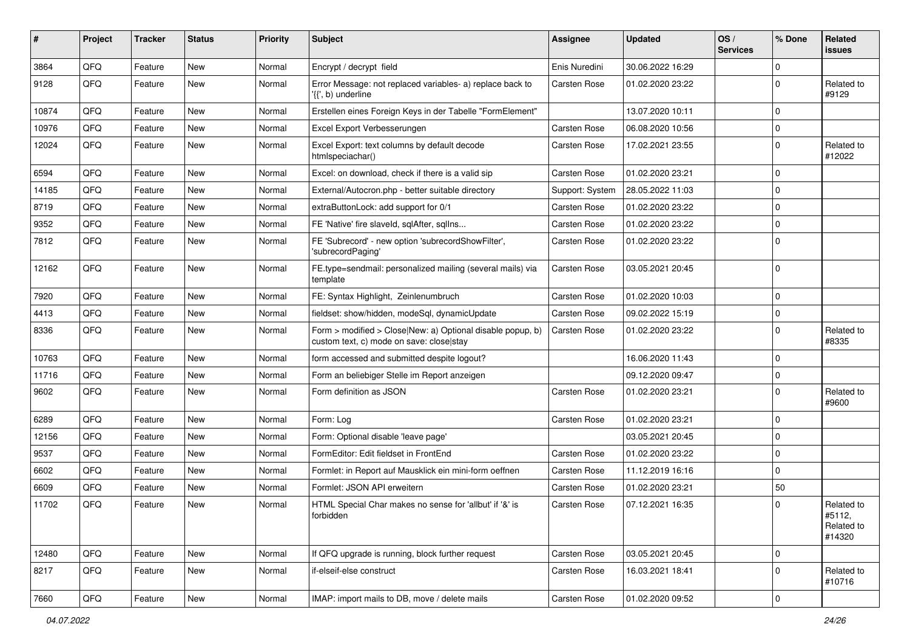| ∦     | Project | <b>Tracker</b> | <b>Status</b> | <b>Priority</b> | <b>Subject</b>                                                                                         | Assignee        | <b>Updated</b>   | OS/<br><b>Services</b> | % Done         | Related<br><b>issues</b>                     |
|-------|---------|----------------|---------------|-----------------|--------------------------------------------------------------------------------------------------------|-----------------|------------------|------------------------|----------------|----------------------------------------------|
| 3864  | QFQ     | Feature        | <b>New</b>    | Normal          | Encrypt / decrypt field                                                                                | Enis Nuredini   | 30.06.2022 16:29 |                        | $\mathbf 0$    |                                              |
| 9128  | QFQ     | Feature        | New           | Normal          | Error Message: not replaced variables- a) replace back to<br>'{{', b) underline                        | Carsten Rose    | 01.02.2020 23:22 |                        | $\mathbf 0$    | Related to<br>#9129                          |
| 10874 | QFQ     | Feature        | <b>New</b>    | Normal          | Erstellen eines Foreign Keys in der Tabelle "FormElement"                                              |                 | 13.07.2020 10:11 |                        | 0              |                                              |
| 10976 | QFQ     | Feature        | <b>New</b>    | Normal          | Excel Export Verbesserungen                                                                            | Carsten Rose    | 06.08.2020 10:56 |                        | $\mathbf 0$    |                                              |
| 12024 | QFQ     | Feature        | <b>New</b>    | Normal          | Excel Export: text columns by default decode<br>htmlspeciachar()                                       | Carsten Rose    | 17.02.2021 23:55 |                        | $\mathbf 0$    | Related to<br>#12022                         |
| 6594  | QFQ     | Feature        | <b>New</b>    | Normal          | Excel: on download, check if there is a valid sip                                                      | Carsten Rose    | 01.02.2020 23:21 |                        | $\mathbf 0$    |                                              |
| 14185 | QFQ     | Feature        | <b>New</b>    | Normal          | External/Autocron.php - better suitable directory                                                      | Support: System | 28.05.2022 11:03 |                        | $\mathbf 0$    |                                              |
| 8719  | QFQ     | Feature        | New           | Normal          | extraButtonLock: add support for 0/1                                                                   | Carsten Rose    | 01.02.2020 23:22 |                        | $\mathbf 0$    |                                              |
| 9352  | QFQ     | Feature        | <b>New</b>    | Normal          | FE 'Native' fire slaveld, sqlAfter, sqlIns                                                             | Carsten Rose    | 01.02.2020 23:22 |                        | $\mathbf 0$    |                                              |
| 7812  | QFQ     | Feature        | <b>New</b>    | Normal          | FE 'Subrecord' - new option 'subrecordShowFilter',<br>'subrecordPaging'                                | Carsten Rose    | 01.02.2020 23:22 |                        | $\overline{0}$ |                                              |
| 12162 | QFQ     | Feature        | <b>New</b>    | Normal          | FE.type=sendmail: personalized mailing (several mails) via<br>template                                 | Carsten Rose    | 03.05.2021 20:45 |                        | $\mathbf 0$    |                                              |
| 7920  | QFQ     | Feature        | <b>New</b>    | Normal          | FE: Syntax Highlight, Zeinlenumbruch                                                                   | Carsten Rose    | 01.02.2020 10:03 |                        | $\mathbf 0$    |                                              |
| 4413  | QFQ     | Feature        | <b>New</b>    | Normal          | fieldset: show/hidden, modeSql, dynamicUpdate                                                          | Carsten Rose    | 09.02.2022 15:19 |                        | $\mathbf 0$    |                                              |
| 8336  | QFQ     | Feature        | New           | Normal          | Form > modified > Close New: a) Optional disable popup, b)<br>custom text, c) mode on save: close stay | Carsten Rose    | 01.02.2020 23:22 |                        | $\mathbf{0}$   | Related to<br>#8335                          |
| 10763 | QFQ     | Feature        | New           | Normal          | form accessed and submitted despite logout?                                                            |                 | 16.06.2020 11:43 |                        | $\mathbf 0$    |                                              |
| 11716 | QFQ     | Feature        | <b>New</b>    | Normal          | Form an beliebiger Stelle im Report anzeigen                                                           |                 | 09.12.2020 09:47 |                        | $\mathbf 0$    |                                              |
| 9602  | QFQ     | Feature        | New           | Normal          | Form definition as JSON                                                                                | Carsten Rose    | 01.02.2020 23:21 |                        | $\mathbf 0$    | Related to<br>#9600                          |
| 6289  | QFQ     | Feature        | <b>New</b>    | Normal          | Form: Log                                                                                              | Carsten Rose    | 01.02.2020 23:21 |                        | $\mathbf 0$    |                                              |
| 12156 | QFQ     | Feature        | <b>New</b>    | Normal          | Form: Optional disable 'leave page'                                                                    |                 | 03.05.2021 20:45 |                        | $\mathbf 0$    |                                              |
| 9537  | QFQ     | Feature        | New           | Normal          | FormEditor: Edit fieldset in FrontEnd                                                                  | Carsten Rose    | 01.02.2020 23:22 |                        | $\mathbf 0$    |                                              |
| 6602  | QFQ     | Feature        | <b>New</b>    | Normal          | Formlet: in Report auf Mausklick ein mini-form oeffnen                                                 | Carsten Rose    | 11.12.2019 16:16 |                        | $\mathbf 0$    |                                              |
| 6609  | QFQ     | Feature        | <b>New</b>    | Normal          | Formlet: JSON API erweitern                                                                            | Carsten Rose    | 01.02.2020 23:21 |                        | 50             |                                              |
| 11702 | QFQ     | Feature        | New           | Normal          | HTML Special Char makes no sense for 'allbut' if '&' is<br>forbidden                                   | Carsten Rose    | 07.12.2021 16:35 |                        | $\mathbf 0$    | Related to<br>#5112,<br>Related to<br>#14320 |
| 12480 | QFQ     | Feature        | New           | Normal          | If QFQ upgrade is running, block further request                                                       | Carsten Rose    | 03.05.2021 20:45 |                        | $\mathbf 0$    |                                              |
| 8217  | QFQ     | Feature        | New           | Normal          | if-elseif-else construct                                                                               | Carsten Rose    | 16.03.2021 18:41 |                        | $\mathbf 0$    | Related to<br>#10716                         |
| 7660  | QFG     | Feature        | New           | Normal          | IMAP: import mails to DB, move / delete mails                                                          | Carsten Rose    | 01.02.2020 09:52 |                        | $\pmb{0}$      |                                              |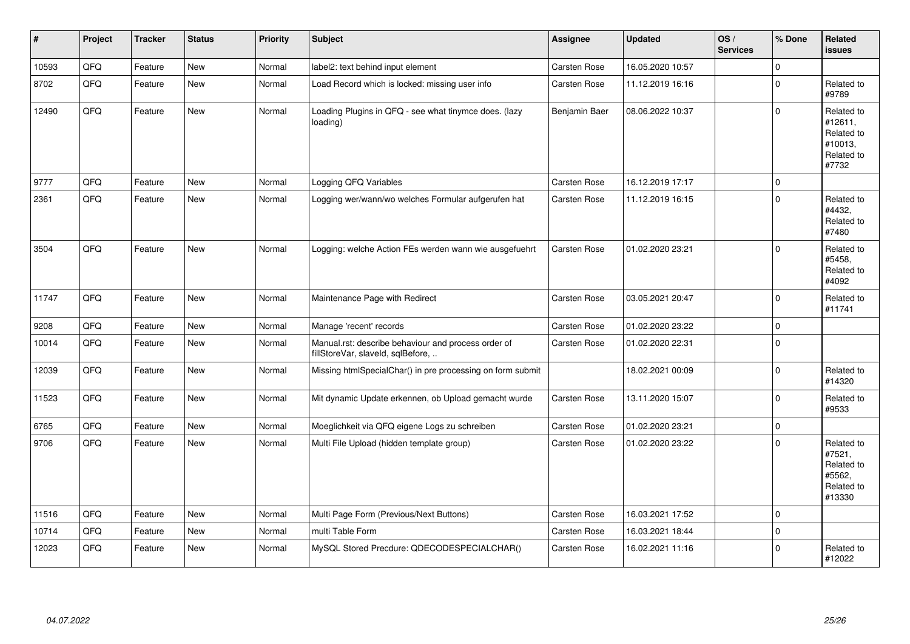| #     | Project | <b>Tracker</b> | <b>Status</b> | <b>Priority</b> | <b>Subject</b>                                                                           | Assignee            | <b>Updated</b>   | OS/<br><b>Services</b> | % Done       | Related<br><b>issues</b>                                              |
|-------|---------|----------------|---------------|-----------------|------------------------------------------------------------------------------------------|---------------------|------------------|------------------------|--------------|-----------------------------------------------------------------------|
| 10593 | QFQ     | Feature        | <b>New</b>    | Normal          | label2: text behind input element                                                        | Carsten Rose        | 16.05.2020 10:57 |                        | $\Omega$     |                                                                       |
| 8702  | QFQ     | Feature        | <b>New</b>    | Normal          | Load Record which is locked: missing user info                                           | Carsten Rose        | 11.12.2019 16:16 |                        | $\mathbf 0$  | Related to<br>#9789                                                   |
| 12490 | QFQ     | Feature        | New           | Normal          | Loading Plugins in QFQ - see what tinymce does. (lazy<br>loading)                        | Benjamin Baer       | 08.06.2022 10:37 |                        | $\Omega$     | Related to<br>#12611,<br>Related to<br>#10013,<br>Related to<br>#7732 |
| 9777  | QFQ     | Feature        | <b>New</b>    | Normal          | Logging QFQ Variables                                                                    | <b>Carsten Rose</b> | 16.12.2019 17:17 |                        | $\mathbf{0}$ |                                                                       |
| 2361  | QFQ     | Feature        | New           | Normal          | Logging wer/wann/wo welches Formular aufgerufen hat                                      | <b>Carsten Rose</b> | 11.12.2019 16:15 |                        | $\mathbf 0$  | Related to<br>#4432,<br>Related to<br>#7480                           |
| 3504  | QFQ     | Feature        | New           | Normal          | Logging: welche Action FEs werden wann wie ausgefuehrt                                   | Carsten Rose        | 01.02.2020 23:21 |                        | $\mathbf 0$  | Related to<br>#5458,<br>Related to<br>#4092                           |
| 11747 | QFQ     | Feature        | <b>New</b>    | Normal          | Maintenance Page with Redirect                                                           | <b>Carsten Rose</b> | 03.05.2021 20:47 |                        | $\Omega$     | Related to<br>#11741                                                  |
| 9208  | QFQ     | Feature        | <b>New</b>    | Normal          | Manage 'recent' records                                                                  | Carsten Rose        | 01.02.2020 23:22 |                        | $\mathbf 0$  |                                                                       |
| 10014 | QFQ     | Feature        | New           | Normal          | Manual.rst: describe behaviour and process order of<br>fillStoreVar, slaveId, sqlBefore, | Carsten Rose        | 01.02.2020 22:31 |                        | $\mathbf 0$  |                                                                       |
| 12039 | QFQ     | Feature        | <b>New</b>    | Normal          | Missing htmlSpecialChar() in pre processing on form submit                               |                     | 18.02.2021 00:09 |                        | $\mathbf 0$  | Related to<br>#14320                                                  |
| 11523 | QFQ     | Feature        | <b>New</b>    | Normal          | Mit dynamic Update erkennen, ob Upload gemacht wurde                                     | Carsten Rose        | 13.11.2020 15:07 |                        | $\Omega$     | Related to<br>#9533                                                   |
| 6765  | QFQ     | Feature        | <b>New</b>    | Normal          | Moeglichkeit via QFQ eigene Logs zu schreiben                                            | <b>Carsten Rose</b> | 01.02.2020 23:21 |                        | $\mathbf 0$  |                                                                       |
| 9706  | QFQ     | Feature        | <b>New</b>    | Normal          | Multi File Upload (hidden template group)                                                | Carsten Rose        | 01.02.2020 23:22 |                        | $\Omega$     | Related to<br>#7521,<br>Related to<br>#5562,<br>Related to<br>#13330  |
| 11516 | QFQ     | Feature        | <b>New</b>    | Normal          | Multi Page Form (Previous/Next Buttons)                                                  | <b>Carsten Rose</b> | 16.03.2021 17:52 |                        | $\mathbf 0$  |                                                                       |
| 10714 | QFQ     | Feature        | New           | Normal          | multi Table Form                                                                         | Carsten Rose        | 16.03.2021 18:44 |                        | $\mathbf 0$  |                                                                       |
| 12023 | QFQ     | Feature        | <b>New</b>    | Normal          | MySQL Stored Precdure: QDECODESPECIALCHAR()                                              | <b>Carsten Rose</b> | 16.02.2021 11:16 |                        | $\mathbf 0$  | Related to<br>#12022                                                  |